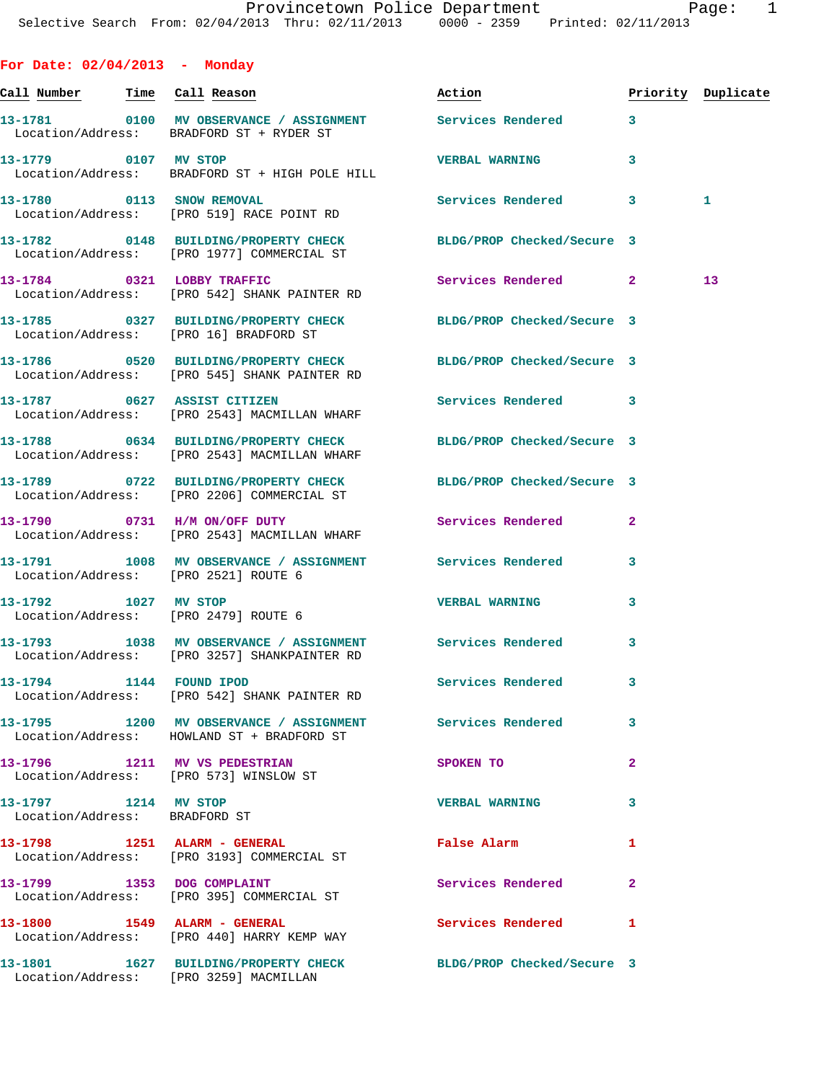| For Date: $02/04/2013$ - Monday |                                                                                                                                               |                            |                |                    |
|---------------------------------|-----------------------------------------------------------------------------------------------------------------------------------------------|----------------------------|----------------|--------------------|
| Call Number                     | Time Call Reason                                                                                                                              | Action                     |                | Priority Duplicate |
|                                 | 13-1781                0100     MV  OBSERVANCE  /  ASSIGNMENT                  Services  Rendered<br>Location/Address: BRADFORD ST + RYDER ST |                            | 3              |                    |
| 13-1779 0107                    | MV STOP<br>Location/Address: BRADFORD ST + HIGH POLE HILL                                                                                     | <b>VERBAL WARNING</b>      | 3              |                    |
| 13-1780 0113 SNOW REMOVAL       | Location/Address: [PRO 519] RACE POINT RD                                                                                                     | <b>Services Rendered</b>   | 3              | 1                  |
|                                 | 13-1782 0148 BUILDING/PROPERTY CHECK<br>Location/Address: [PRO 1977] COMMERCIAL ST                                                            | BLDG/PROP Checked/Secure 3 |                |                    |
| 13-1784 0321                    | <b>LOBBY TRAFFIC</b><br>Location/Address: [PRO 542] SHANK PAINTER RD                                                                          | Services Rendered          | $\overline{2}$ | 13                 |
|                                 | 13-1785 0327 BUILDING/PROPERTY CHECK BLDG/PROP Checked/Secure 3<br>Location/Address: [PRO 16] BRADFORD ST                                     |                            |                |                    |
| 13-1786<br>0520                 | BUILDING/PROPERTY CHECK                                                                                                                       | BLDG/PROP Checked/Secure 3 |                |                    |

Location/Address: [PRO 545] SHANK PAINTER RD

**13-1787 0627 ASSIST CITIZEN Services Rendered 3**  Location/Address: [PRO 2543] MACMILLAN WHARF

**13-1788 0634 BUILDING/PROPERTY CHECK BLDG/PROP Checked/Secure 3**  Location/Address: [PRO 2543] MACMILLAN WHARF

**13-1789 0722 BUILDING/PROPERTY CHECK BLDG/PROP Checked/Secure 3**  Location/Address: [PRO 2206] COMMERCIAL ST

**13-1790 0731 H/M ON/OFF DUTY Services Rendered 2**  Location/Address: [PRO 2543] MACMILLAN WHARF

**13-1791 1008 MV OBSERVANCE / ASSIGNMENT Services Rendered 3**  Location/Address: [PRO 2521] ROUTE 6

**13-1792 1027 MV STOP VERBAL WARNING 3**  Location/Address: [PRO 2479] ROUTE 6

**13-1793 1038 MV OBSERVANCE / ASSIGNMENT Services Rendered 3**  Location/Address: [PRO 3257] SHANKPAINTER RD

**13-1794 1144 FOUND IPOD Services Rendered 3**  Location/Address: [PRO 542] SHANK PAINTER RD

**13-1795 1200 MV OBSERVANCE / ASSIGNMENT Services Rendered 3**  Location/Address: HOWLAND ST + BRADFORD ST

**13-1796 1211 MV VS PEDESTRIAN SPOKEN TO 2**  Location/Address: [PRO 573] WINSLOW ST

**13-1797 1214 MV STOP VERBAL WARNING 3**  Location/Address: BRADFORD ST

**13-1798 1251 ALARM - GENERAL False Alarm 1** 

**13-1799 1353 DOG COMPLAINT Services Rendered 2** 

Location/Address: [PRO 3193] COMMERCIAL ST

Location/Address: [PRO 395] COMMERCIAL ST

Location/Address: [PRO 440] HARRY KEMP WAY

Location/Address: [PRO 3259] MACMILLAN

**13-1800 1549 ALARM - GENERAL Services Rendered 1** 

**13-1801 1627 BUILDING/PROPERTY CHECK BLDG/PROP Checked/Secure 3**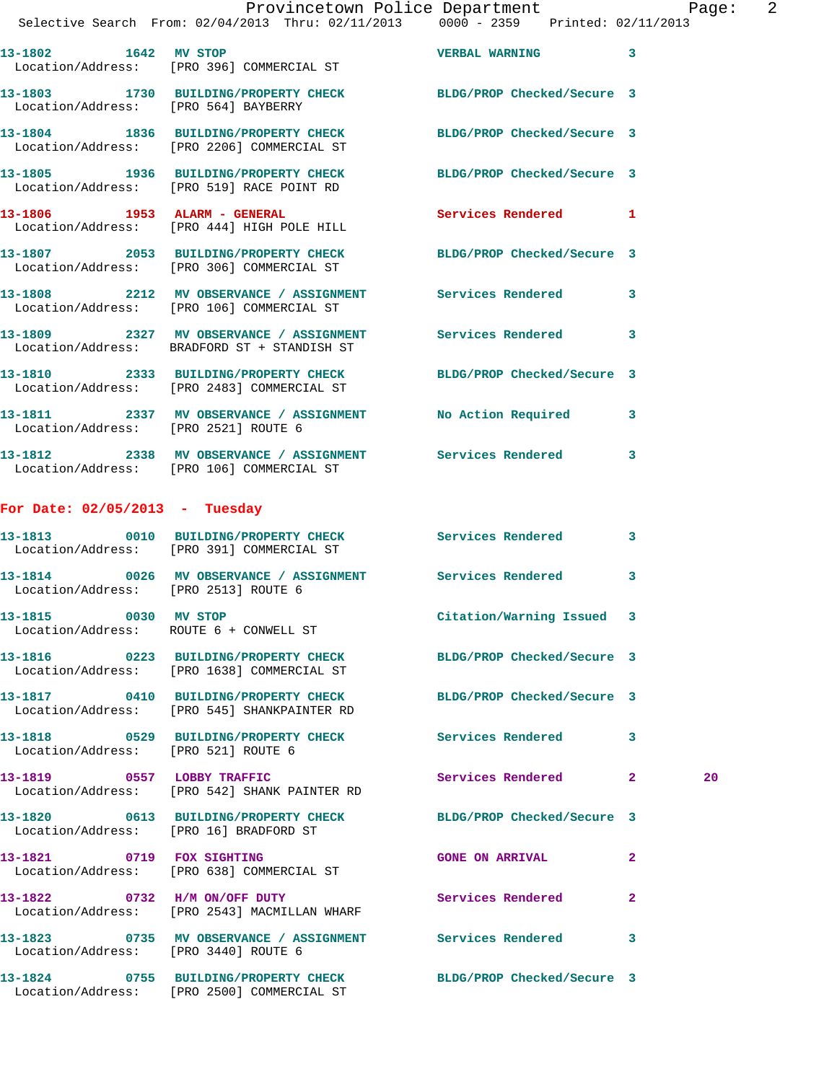|                                  | Provincetown Police Department<br>Selective Search From: $02/04/2013$ Thru: $02/11/2013$ 0000 - 2359 Printed: 02/11/2013 |                     | $\overline{2}$<br>Paqe: |
|----------------------------------|--------------------------------------------------------------------------------------------------------------------------|---------------------|-------------------------|
| 13-1802 1642 MV STOP             | Location/Address: [PRO 396] COMMERCIAL ST                                                                                | VERBAL WARNING 3    |                         |
|                                  | 13-1803 1730 BUILDING/PROPERTY CHECK BLDG/PROP Checked/Secure 3<br>Location/Address: [PRO 564] BAYBERRY                  |                     |                         |
|                                  | 13-1804 1836 BUILDING/PROPERTY CHECK BLDG/PROP Checked/Secure 3<br>Location/Address: [PRO 2206] COMMERCIAL ST            |                     |                         |
|                                  | 13-1805 1936 BUILDING/PROPERTY CHECK BLDG/PROP Checked/Secure 3<br>Location/Address: [PRO 519] RACE POINT RD             |                     |                         |
|                                  | 13-1806 1953 ALARM - GENERAL<br>Location/Address: [PRO 444] HIGH POLE HILL                                               | Services Rendered 1 |                         |
|                                  | 13-1807 2053 BUILDING/PROPERTY CHECK BLDG/PROP Checked/Secure 3<br>Location/Address: [PRO 306] COMMERCIAL ST             |                     |                         |
|                                  | 13-1808 2212 MV OBSERVANCE / ASSIGNMENT Services Rendered 3<br>Location/Address: [PRO 106] COMMERCIAL ST                 |                     |                         |
|                                  | 13-1809 2327 MV OBSERVANCE / ASSIGNMENT Services Rendered 3<br>Location/Address: BRADFORD ST + STANDISH ST               |                     |                         |
|                                  | 13-1810 2333 BUILDING/PROPERTY CHECK BLDG/PROP Checked/Secure 3<br>Location/Address: [PRO 2483] COMMERCIAL ST            |                     |                         |
|                                  | 13-1811 2337 MV OBSERVANCE / ASSIGNMENT No Action Required 3<br>Location/Address: [PRO 2521] ROUTE 6                     |                     |                         |
|                                  | 13-1812 2338 MV OBSERVANCE / ASSIGNMENT Services Rendered 3<br>Location/Address: [PRO 106] COMMERCIAL ST                 |                     |                         |
| For Date: $02/05/2013$ - Tuesday |                                                                                                                          |                     |                         |
|                                  | 13-1813 0010 BUILDING/PROPERTY CHECK Services Rendered 3<br>Location/Address: [PRO 391] COMMERCIAL ST                    |                     |                         |
|                                  | 13-1814 0026 MV OBSERVANCE / ASSIGNMENT Services Rendered 3                                                              |                     |                         |

 Location/Address: [PRO 2513] ROUTE 6 **13-1815 0030 MV STOP Citation/Warning Issued 3**  Location/Address: ROUTE 6 + CONWELL ST **13-1816 0223 BUILDING/PROPERTY CHECK BLDG/PROP Checked/Secure 3**  Location/Address: [PRO 1638] COMMERCIAL ST **13-1817 0410 BUILDING/PROPERTY CHECK BLDG/PROP Checked/Secure 3**  Location/Address: [PRO 545] SHANKPAINTER RD **13-1818 0529 BUILDING/PROPERTY CHECK Services Rendered 3** 

**13-1819 0557 LOBBY TRAFFIC Services Rendered 2 20**  Location/Address: [PRO 542] SHANK PAINTER RD **13-1820 0613 BUILDING/PROPERTY CHECK BLDG/PROP Checked/Secure 3**  Location/Address: [PRO 16] BRADFORD ST

**13-1821 0719 FOX SIGHTING GONE ON ARRIVAL 2**  Location/Address: [PRO 638] COMMERCIAL ST

**13-1822 0732 H/M ON/OFF DUTY Services Rendered 2**  Location/Address: [PRO 2543] MACMILLAN WHARF

**13-1823 0735 MV OBSERVANCE / ASSIGNMENT Services Rendered 3**  Location/Address: [PRO 3440] ROUTE 6

Location/Address: [PRO 521] ROUTE 6

Location/Address: [PRO 2500] COMMERCIAL ST

**13-1824 0755 BUILDING/PROPERTY CHECK BLDG/PROP Checked/Secure 3**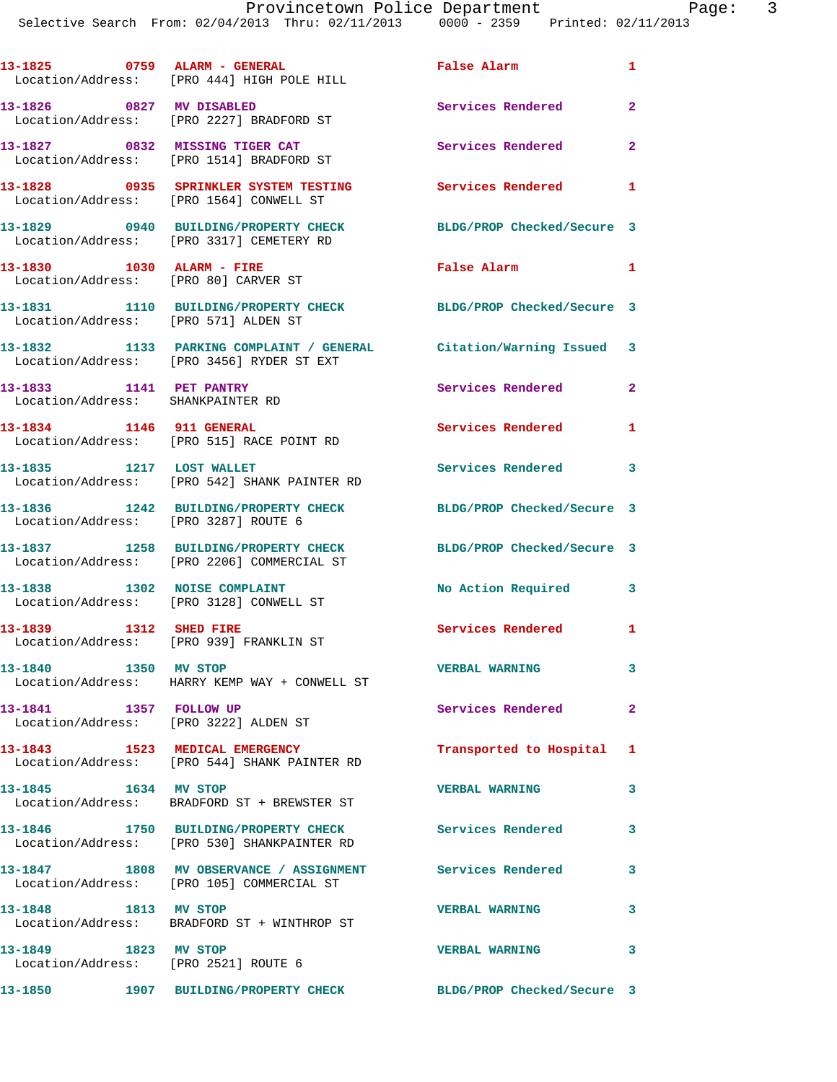|                                                              | 13-1825 0759 ALARM - GENERAL<br>Location/Address: [PRO 444] HIGH POLE HILL                                      | <b>False Alarm</b>                               | $\mathbf{1}$            |
|--------------------------------------------------------------|-----------------------------------------------------------------------------------------------------------------|--------------------------------------------------|-------------------------|
| 13-1826 0827 MV DISABLED                                     | Location/Address: [PRO 2227] BRADFORD ST                                                                        | <b>Services Rendered</b>                         | $\overline{2}$          |
|                                                              | 13-1827 0832 MISSING TIGER CAT<br>Location/Address: [PRO 1514] BRADFORD ST                                      | Services Rendered                                | $\overline{\mathbf{2}}$ |
|                                                              | 13-1828 0935 SPRINKLER SYSTEM TESTING<br>Location/Address: [PRO 1564] CONWELL ST                                | <b>Services Rendered</b> 1                       |                         |
|                                                              | 13-1829 0940 BUILDING/PROPERTY CHECK<br>Location/Address: [PRO 3317] CEMETERY RD                                | BLDG/PROP Checked/Secure 3                       |                         |
| 13-1830 1030 ALARM - FIRE                                    | Location/Address: [PRO 80] CARVER ST                                                                            | False Alarm                                      | $\blacksquare$          |
| Location/Address: [PRO 571] ALDEN ST                         | 13-1831 1110 BUILDING/PROPERTY CHECK BLDG/PROP Checked/Secure 3                                                 |                                                  |                         |
|                                                              | 13-1832 1133 PARKING COMPLAINT / GENERAL Citation/Warning Issued 3<br>Location/Address: [PRO 3456] RYDER ST EXT |                                                  |                         |
| 13-1833 1141 PET PANTRY<br>Location/Address: SHANKPAINTER RD |                                                                                                                 | <b>Services Rendered</b>                         | $\mathbf{2}$            |
| 13-1834 1146 911 GENERAL                                     | Location/Address: [PRO 515] RACE POINT RD                                                                       | Services Rendered                                | 1                       |
|                                                              | 13-1835 1217 LOST WALLET<br>Location/Address: [PRO 542] SHANK PAINTER RD                                        | Services Rendered 3                              |                         |
| Location/Address: [PRO 3287] ROUTE 6                         | 13-1836 1242 BUILDING/PROPERTY CHECK                                                                            | BLDG/PROP Checked/Secure 3                       |                         |
|                                                              | 13-1837 1258 BUILDING/PROPERTY CHECK<br>Location/Address: [PRO 2206] COMMERCIAL ST                              | BLDG/PROP Checked/Secure 3                       |                         |
| 13-1838 1302 NOISE COMPLAINT                                 | Location/Address: [PRO 3128] CONWELL ST                                                                         | No Action Required<br>$\overline{\phantom{a}}$ 3 |                         |
| 13-1839 1312 SHED FIRE                                       | Location/Address: [PRO 939] FRANKLIN ST                                                                         | Services Rendered 1                              |                         |
| 13-1840   1350 MV STOP                                       | Location/Address: HARRY KEMP WAY + CONWELL ST                                                                   | <b>VERBAL WARNING</b>                            | 3                       |
| 13-1841 1357 FOLLOW UP                                       | Location/Address: [PRO 3222] ALDEN ST                                                                           | Services Rendered                                | $\mathbf{2}$            |
|                                                              | 13-1843 1523 MEDICAL EMERGENCY<br>Location/Address: [PRO 544] SHANK PAINTER RD                                  | Transported to Hospital 1                        |                         |
| 13-1845 1634 MV STOP                                         | Location/Address: BRADFORD ST + BREWSTER ST                                                                     | <b>VERBAL WARNING</b>                            | 3                       |
|                                                              | 13-1846 1750 BUILDING/PROPERTY CHECK<br>Location/Address: [PRO 530] SHANKPAINTER RD                             | Services Rendered 3                              |                         |
|                                                              | 13-1847 1808 MV OBSERVANCE / ASSIGNMENT Services Rendered<br>Location/Address: [PRO 105] COMMERCIAL ST          |                                                  | $\mathbf{3}$            |
| 13-1848 1813 MV STOP                                         | Location/Address: BRADFORD ST + WINTHROP ST                                                                     | <b>VERBAL WARNING</b>                            | 3                       |
| 13-1849 1823 MV STOP<br>Location/Address: [PRO 2521] ROUTE 6 |                                                                                                                 | <b>VERBAL WARNING</b>                            | 3                       |
|                                                              | 13-1850 1907 BUILDING/PROPERTY CHECK BLDG/PROP Checked/Secure 3                                                 |                                                  |                         |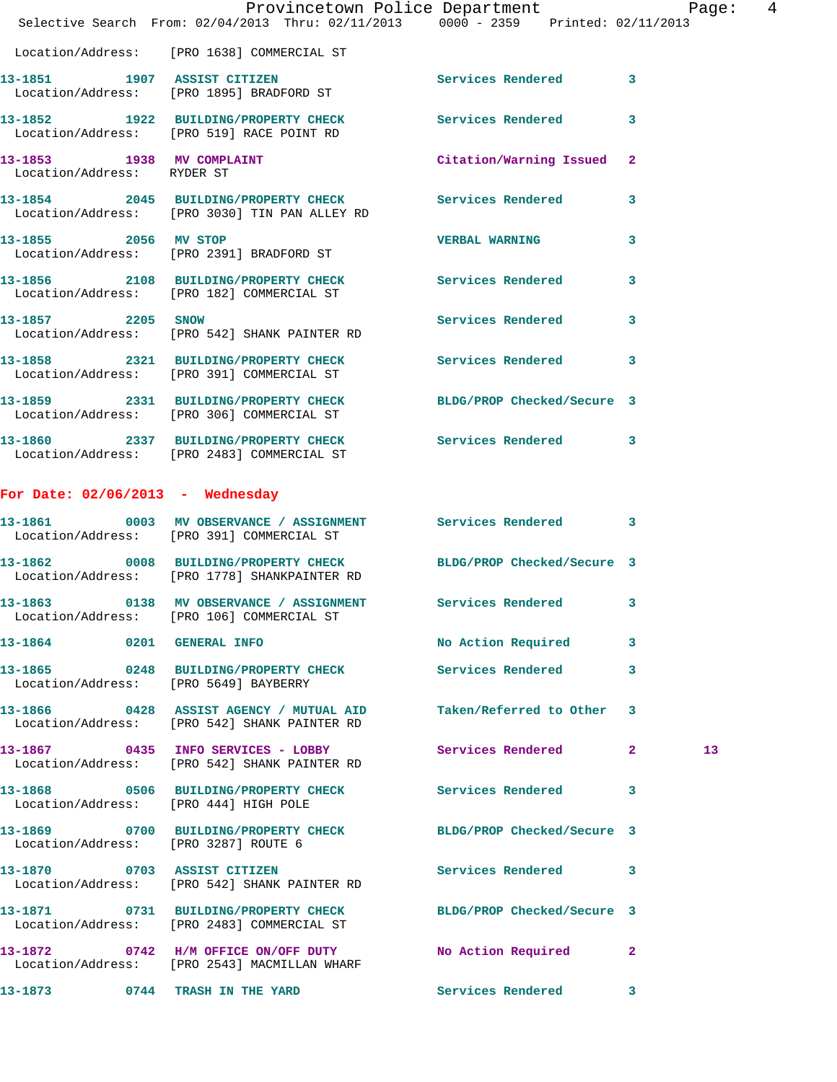|                                                         | Provincetown Police Department Page: 4<br>Selective Search From: 02/04/2013 Thru: 02/11/2013 0000 - 2359 Printed: 02/11/2013 |                           |                         |                 |
|---------------------------------------------------------|------------------------------------------------------------------------------------------------------------------------------|---------------------------|-------------------------|-----------------|
|                                                         | Location/Address: [PRO 1638] COMMERCIAL ST                                                                                   |                           |                         |                 |
|                                                         | 13-1851 1907 ASSIST CITIZEN<br>Location/Address: [PRO 1895] BRADFORD ST                                                      | Services Rendered 3       |                         |                 |
|                                                         | 13-1852 1922 BUILDING/PROPERTY CHECK Services Rendered<br>Location/Address: [PRO 519] RACE POINT RD                          |                           | 3                       |                 |
| 13-1853 1938 MV COMPLAINT<br>Location/Address: RYDER ST |                                                                                                                              | Citation/Warning Issued 2 |                         |                 |
|                                                         | 13-1854 2045 BUILDING/PROPERTY CHECK Services Rendered<br>Location/Address: [PRO 3030] TIN PAN ALLEY RD                      |                           | 3                       |                 |
| 13-1855 2056 MV STOP                                    | Location/Address: [PRO 2391] BRADFORD ST                                                                                     | <b>VERBAL WARNING</b>     | 3                       |                 |
|                                                         | 13-1856 2108 BUILDING/PROPERTY CHECK<br>Location/Address: [PRO 182] COMMERCIAL ST                                            | Services Rendered 3       |                         |                 |
| 13-1857 2205 SNOW                                       | Location/Address: [PRO 542] SHANK PAINTER RD                                                                                 | Services Rendered         | 3                       |                 |
|                                                         | 13-1858 2321 BUILDING/PROPERTY CHECK Services Rendered<br>Location/Address: [PRO 391] COMMERCIAL ST                          |                           | $\overline{\mathbf{3}}$ |                 |
|                                                         | 13-1859 2331 BUILDING/PROPERTY CHECK BLDG/PROP Checked/Secure 3<br>Location/Address: [PRO 306] COMMERCIAL ST                 |                           |                         |                 |
|                                                         | 13-1860 2337 BUILDING/PROPERTY CHECK Services Rendered 3<br>Location/Address: [PRO 2483] COMMERCIAL ST                       |                           |                         |                 |
| For Date: $02/06/2013$ - Wednesday                      |                                                                                                                              |                           |                         |                 |
|                                                         | 13-1861 0003 MV OBSERVANCE / ASSIGNMENT Services Rendered 3<br>Location/Address: [PRO 391] COMMERCIAL ST                     |                           |                         |                 |
|                                                         | 13-1862 0008 BUILDING/PROPERTY CHECK BLDG/PROP Checked/Secure 3<br>Location/Address: [PRO 1778] SHANKPAINTER RD              |                           |                         |                 |
|                                                         | 13-1863 0138 MV OBSERVANCE / ASSIGNMENT Services Rendered 3<br>Location/Address: [PRO 106] COMMERCIAL ST                     |                           |                         |                 |
|                                                         | 13-1864 0201 GENERAL INFO                                                                                                    | No Action Required        | 3                       |                 |
|                                                         | 13-1865 0248 BUILDING/PROPERTY CHECK Services Rendered<br>Location/Address: [PRO 5649] BAYBERRY                              |                           | 3                       |                 |
|                                                         | 13-1866 0428 ASSIST AGENCY / MUTUAL AID Taken/Referred to Other 3<br>Location/Address: [PRO 542] SHANK PAINTER RD            |                           |                         |                 |
|                                                         | 13-1867 0435 INFO SERVICES - LOBBY Services Rendered 2<br>Location/Address: [PRO 542] SHANK PAINTER RD                       |                           |                         | 13 <sup>°</sup> |
|                                                         | 13-1868 0506 BUILDING/PROPERTY CHECK Services Rendered 3<br>Location/Address: [PRO 444] HIGH POLE                            |                           |                         |                 |
| Location/Address: [PRO 3287] ROUTE 6                    | 13-1869 0700 BUILDING/PROPERTY CHECK BLDG/PROP Checked/Secure 3                                                              |                           |                         |                 |
|                                                         | 13-1870 0703 ASSIST CITIZEN<br>Location/Address: [PRO 542] SHANK PAINTER RD                                                  | Services Rendered 3       |                         |                 |
|                                                         | 13-1871 0731 BUILDING/PROPERTY CHECK BLDG/PROP Checked/Secure 3<br>Location/Address: [PRO 2483] COMMERCIAL ST                |                           |                         |                 |
|                                                         | 13-1872 0742 H/M OFFICE ON/OFF DUTY No Action Required<br>Location/Address: [PRO 2543] MACMILLAN WHARF                       |                           | $\mathbf{2}$            |                 |
|                                                         | 13-1873 0744 TRASH IN THE YARD                                                                                               | Services Rendered 3       |                         |                 |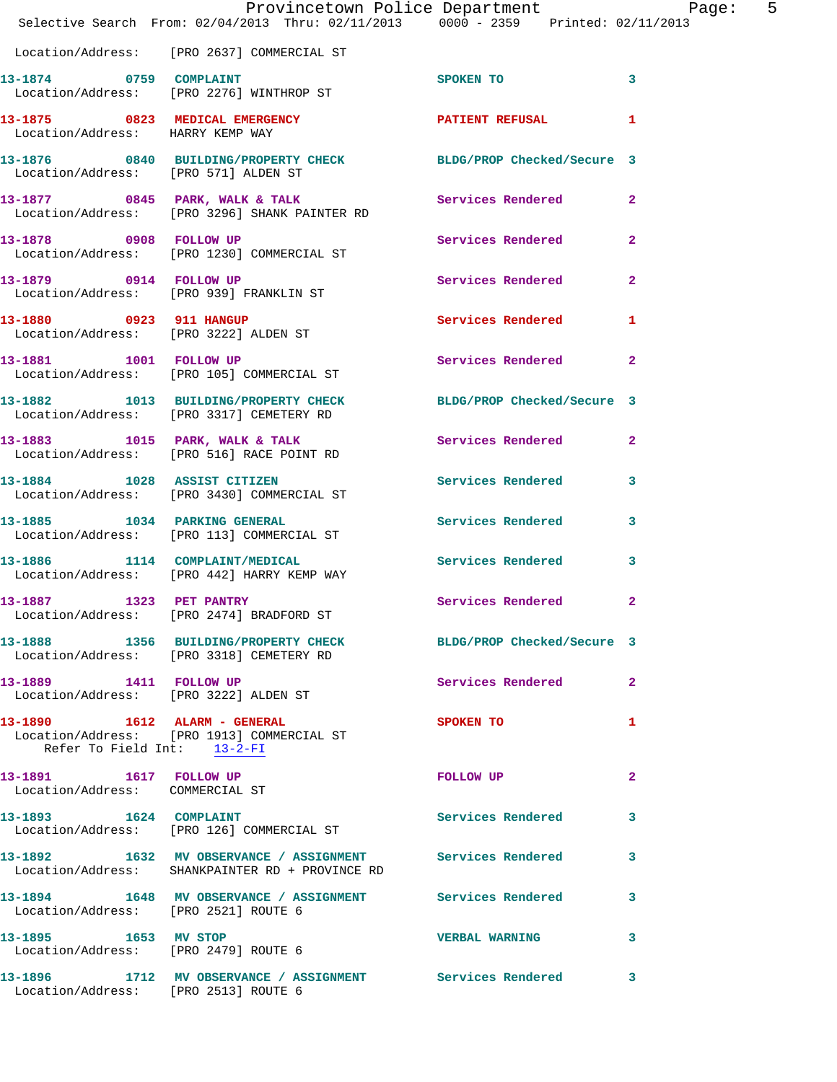|                                                           | Provincetown Police Department Page: 5<br>Selective Search From: $02/04/2013$ Thru: $02/11/2013$ 0000 - 2359 Printed: $02/11/2013$ |                                                                                                                                                                                                                                |              |
|-----------------------------------------------------------|------------------------------------------------------------------------------------------------------------------------------------|--------------------------------------------------------------------------------------------------------------------------------------------------------------------------------------------------------------------------------|--------------|
|                                                           | Location/Address: [PRO 2637] COMMERCIAL ST                                                                                         |                                                                                                                                                                                                                                |              |
| 13-1874 0759 COMPLAINT                                    | Location/Address: [PRO 2276] WINTHROP ST                                                                                           | SPOKEN TO                                                                                                                                                                                                                      | $\sim$ 3     |
| Location/Address: HARRY KEMP WAY                          | 13-1875 0823 MEDICAL EMERGENCY PATIENT REFUSAL 1                                                                                   |                                                                                                                                                                                                                                |              |
| Location/Address: [PRO 571] ALDEN ST                      | 13-1876 0840 BUILDING/PROPERTY CHECK BLDG/PROP Checked/Secure 3                                                                    |                                                                                                                                                                                                                                |              |
|                                                           | 13-1877 0845 PARK, WALK & TALK 3 Services Rendered 2<br>Location/Address: [PRO 3296] SHANK PAINTER RD                              |                                                                                                                                                                                                                                |              |
| 13-1878 0908 FOLLOW UP                                    | Location/Address: [PRO 1230] COMMERCIAL ST                                                                                         | Services Rendered 2                                                                                                                                                                                                            |              |
|                                                           | 13-1879 0914 FOLLOW UP<br>Location/Address: [PRO 939] FRANKLIN ST                                                                  | <b>Services Rendered</b>                                                                                                                                                                                                       | $\mathbf{2}$ |
|                                                           | 13-1880 0923 911 HANGUP<br>Location/Address: [PRO 3222] ALDEN ST                                                                   | Services Rendered                                                                                                                                                                                                              | 1            |
|                                                           | 13-1881 1001 FOLLOW UP<br>Location/Address: [PRO 105] COMMERCIAL ST                                                                | Services Rendered 2                                                                                                                                                                                                            |              |
|                                                           | 13-1882 1013 BUILDING/PROPERTY CHECK BLDG/PROP Checked/Secure 3<br>Location/Address: [PRO 3317] CEMETERY RD                        |                                                                                                                                                                                                                                |              |
|                                                           | 13-1883 1015 PARK, WALK & TALK<br>Location/Address: [PRO 516] RACE POINT RD                                                        | Services Rendered 2                                                                                                                                                                                                            |              |
|                                                           | 13-1884 1028 ASSIST CITIZEN<br>Location/Address: [PRO 3430] COMMERCIAL ST                                                          | <b>Services Rendered</b>                                                                                                                                                                                                       | 3            |
| 13-1885 1034 PARKING GENERAL                              | Location/Address: [PRO 113] COMMERCIAL ST                                                                                          | Services Rendered 3                                                                                                                                                                                                            |              |
|                                                           | 13-1886 1114 COMPLAINT/MEDICAL<br>Location/Address: [PRO 442] HARRY KEMP WAY                                                       | Services Rendered 3                                                                                                                                                                                                            |              |
| 13-1887 1323 PET PANTRY                                   | Location/Address: [PRO 2474] BRADFORD ST                                                                                           | Services Rendered 2                                                                                                                                                                                                            |              |
|                                                           | 13-1888 1356 BUILDING/PROPERTY CHECK BLDG/PROP Checked/Secure 3<br>Location/Address: [PRO 3318] CEMETERY RD                        |                                                                                                                                                                                                                                |              |
| 13-1889 1411 FOLLOW UP                                    | Location/Address: [PRO 3222] ALDEN ST                                                                                              | <b>Services Rendered</b>                                                                                                                                                                                                       | $\mathbf{2}$ |
| Refer To Field Int: 13-2-FI                               | 13-1890    1612    ALARM - GENERAL<br>Location/Address: [PRO 1913] COMMERCIAL ST                                                   | <b>SPOKEN TO</b>                                                                                                                                                                                                               | 1            |
| 13-1891 1617 FOLLOW UP<br>Location/Address: COMMERCIAL ST |                                                                                                                                    | FOLLOW UP THE TRANSPORTED TO A THE TRANSPORTED TO A THE TRANSPORTED TO A THE TRANSPORTED TO A THE TRANSPORTED TO A THE TRANSPORTED TO A THE TRANSPORTED TO A THE TRANSPORTED TO A THE TRANSPORTED TO A THE TRANSPORTED TO A TH | $\mathbf{2}$ |
|                                                           | 13-1893   1624   COMPLAINT<br>Location/Address: [PRO 126] COMMERCIAL ST                                                            | <b>Services Rendered</b>                                                                                                                                                                                                       | 3            |
|                                                           | 13-1892 1632 MV OBSERVANCE / ASSIGNMENT Services Rendered 3<br>Location/Address: SHANKPAINTER RD + PROVINCE RD                     |                                                                                                                                                                                                                                |              |
| Location/Address: [PRO 2521] ROUTE 6                      | 13-1894 1648 MV OBSERVANCE / ASSIGNMENT Services Rendered                                                                          |                                                                                                                                                                                                                                | 3            |
| 13-1895 1653 MV STOP                                      | Location/Address: [PRO 2479] ROUTE 6                                                                                               | <b>VERBAL WARNING</b>                                                                                                                                                                                                          | 3            |
|                                                           | 13-1896 1712 MV OBSERVANCE / ASSIGNMENT Services Rendered 3<br>Location/Address: [PRO 2513] ROUTE 6                                |                                                                                                                                                                                                                                |              |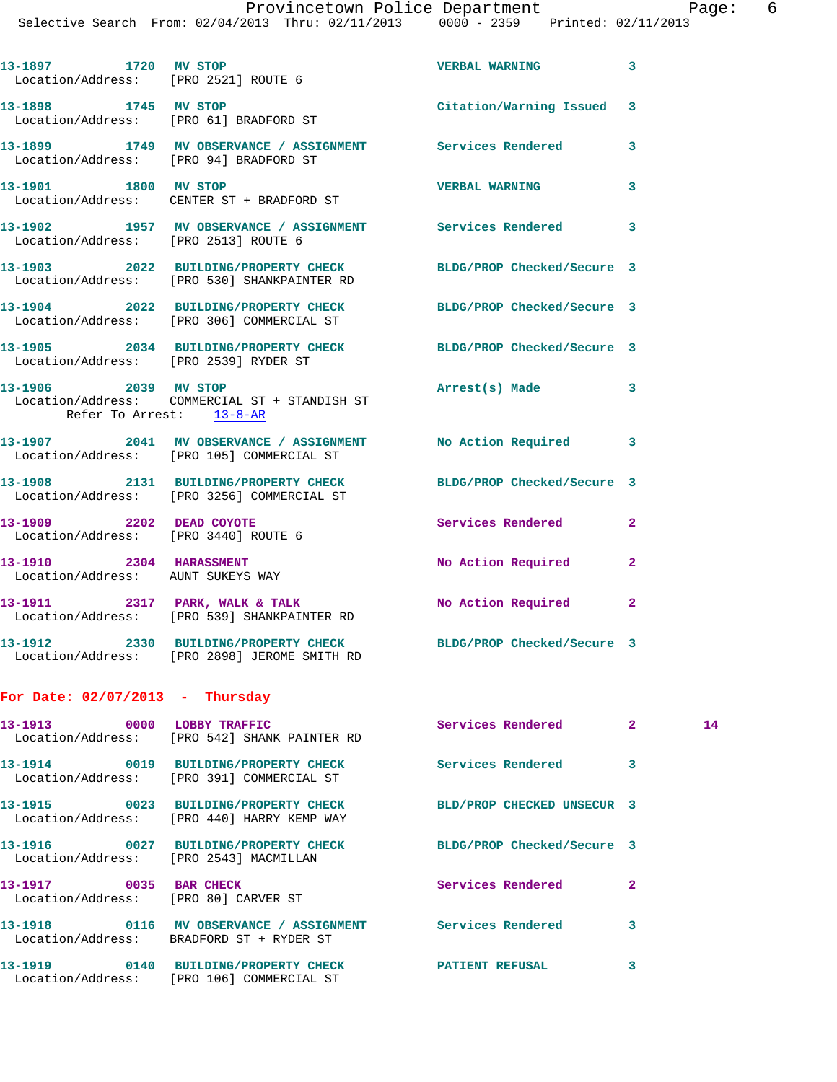Selective Search From: 02/04/2013 Thru: 02/11/2013 0000 - 2359 Printed: 02/11/2013

|                                   | 13-1897 1720 MV STOP<br>Location/Address: [PRO 2521] ROUTE 6                                                    | <b>VERBAL WARNING</b>     | 3            |    |
|-----------------------------------|-----------------------------------------------------------------------------------------------------------------|---------------------------|--------------|----|
| 13-1898 1745 MV STOP              | Location/Address: [PRO 61] BRADFORD ST                                                                          | Citation/Warning Issued   | 3            |    |
|                                   | 13-1899 1749 MV OBSERVANCE / ASSIGNMENT Services Rendered<br>Location/Address: [PRO 94] BRADFORD ST             |                           | 3            |    |
| 13-1901 1800 MV STOP              | Location/Address: CENTER ST + BRADFORD ST                                                                       | <b>VERBAL WARNING</b>     | 3            |    |
|                                   | 13-1902 1957 MV OBSERVANCE / ASSIGNMENT Services Rendered<br>Location/Address: [PRO 2513] ROUTE 6               |                           | 3            |    |
|                                   | 13-1903 2022 BUILDING/PROPERTY CHECK BLDG/PROP Checked/Secure 3<br>Location/Address: [PRO 530] SHANKPAINTER RD  |                           |              |    |
|                                   | 13-1904 2022 BUILDING/PROPERTY CHECK BLDG/PROP Checked/Secure 3<br>Location/Address: [PRO 306] COMMERCIAL ST    |                           |              |    |
|                                   | 13-1905 2034 BUILDING/PROPERTY CHECK BLDG/PROP Checked/Secure 3<br>Location/Address: [PRO 2539] RYDER ST        |                           |              |    |
| 13-1906 2039 MV STOP              | Location/Address: COMMERCIAL ST + STANDISH ST<br>Refer To Arrest: 13-8-AR                                       | Arrest(s) Made            | 3            |    |
|                                   | 13-1907 2041 MV OBSERVANCE / ASSIGNMENT No Action Required<br>Location/Address: [PRO 105] COMMERCIAL ST         |                           | 3            |    |
|                                   | 13-1908 2131 BUILDING/PROPERTY CHECK BLDG/PROP Checked/Secure 3<br>Location/Address: [PRO 3256] COMMERCIAL ST   |                           |              |    |
|                                   | 13-1909 2202 DEAD COYOTE<br>Location/Address: [PRO 3440] ROUTE 6                                                | <b>Services Rendered</b>  | $\mathbf{2}$ |    |
|                                   | 13-1910 2304 HARASSMENT<br>Location/Address: AUNT SUKEYS WAY                                                    | <b>No Action Required</b> | $\mathbf{2}$ |    |
|                                   | 13-1911 2317 PARK, WALK & TALK<br>Location/Address: [PRO 539] SHANKPAINTER RD                                   | No Action Required        | 2            |    |
|                                   | 13-1912 2330 BUILDING/PROPERTY CHECK BLDG/PROP Checked/Secure 3<br>Location/Address: [PRO 2898] JEROME SMITH RD |                           |              |    |
| For Date: $02/07/2013$ - Thursday |                                                                                                                 |                           |              |    |
|                                   | 13-1913 0000 LOBBY TRAFFIC<br>Location/Address: [PRO 542] SHANK PAINTER RD                                      | Services Rendered 2       |              | 14 |
|                                   | 13-1914 0019 BUILDING/PROPERTY CHECK Services Rendered<br>Location/Address: [PRO 391] COMMERCIAL ST             |                           | 3            |    |
|                                   | 13-1915 0023 BUILDING/PROPERTY CHECK BLD/PROP CHECKED UNSECUR 3<br>Location/Address: [PRO 440] HARRY KEMP WAY   |                           |              |    |
|                                   | 13-1916 0027 BUILDING/PROPERTY CHECK BLDG/PROP Checked/Secure 3<br>Location/Address: [PRO 2543] MACMILLAN       |                           |              |    |
|                                   | 13-1917 0035 BAR CHECK<br>Location/Address: [PRO 80] CARVER ST                                                  | Services Rendered         | $\mathbf{2}$ |    |
|                                   | 13-1918 0116 MV OBSERVANCE / ASSIGNMENT Services Rendered<br>Location/Address: BRADFORD ST + RYDER ST           |                           | 3            |    |
|                                   | 13-1919   0140 BUILDING/PROPERTY CHECK   PATIENT REFUSAL<br>Location/Address: [PRO 106] COMMERCIAL ST           |                           | 3            |    |
|                                   |                                                                                                                 |                           |              |    |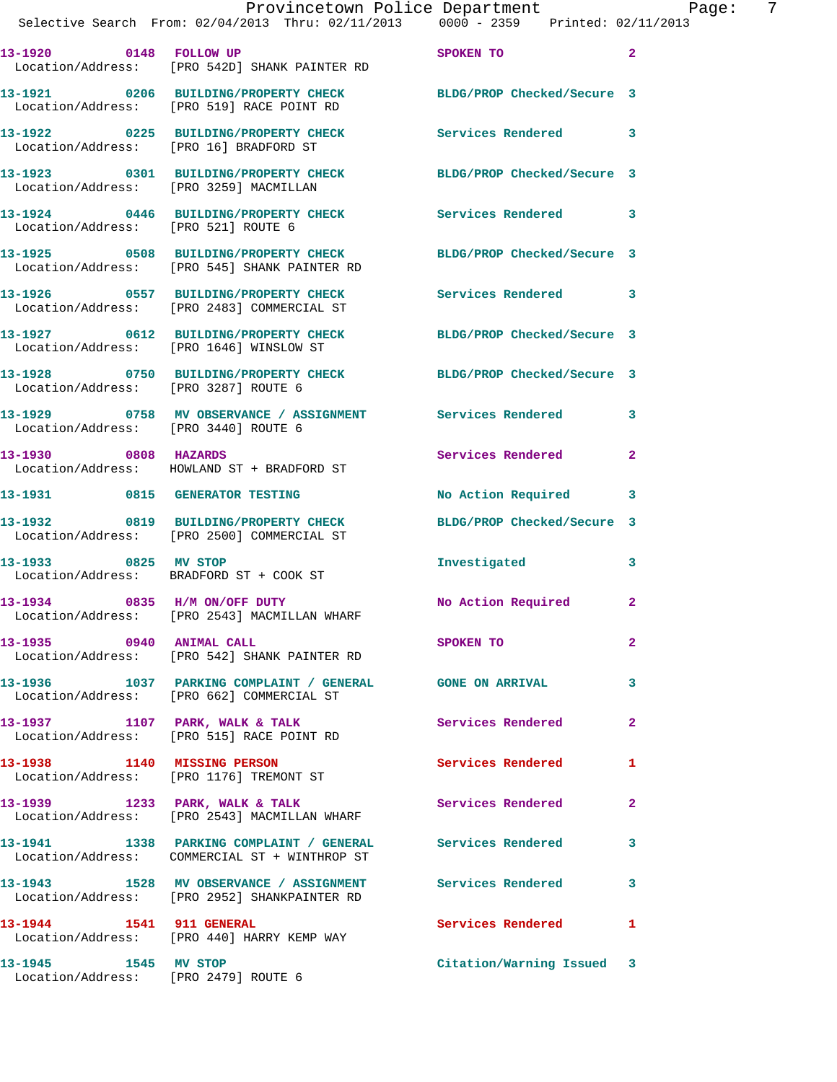|                                      | Provincetown Police Department Page: 7<br>Selective Search From: 02/04/2013 Thru: 02/11/2013 0000 - 2359 Printed: 02/11/2013 |                            |                |
|--------------------------------------|------------------------------------------------------------------------------------------------------------------------------|----------------------------|----------------|
|                                      | 13-1920 0148 FOLLOW UP<br>Location/Address: [PRO 542D] SHANK PAINTER RD                                                      | SPOKEN TO                  | $\overline{a}$ |
|                                      | 13-1921 0206 BUILDING/PROPERTY CHECK BLDG/PROP Checked/Secure 3<br>Location/Address: [PRO 519] RACE POINT RD                 |                            |                |
|                                      | 13-1922 0225 BUILDING/PROPERTY CHECK Services Rendered<br>Location/Address: [PRO 16] BRADFORD ST                             |                            | 3              |
|                                      | 13-1923 0301 BUILDING/PROPERTY CHECK BLDG/PROP Checked/Secure 3<br>Location/Address: [PRO 3259] MACMILLAN                    |                            |                |
|                                      | 13-1924 0446 BUILDING/PROPERTY CHECK Services Rendered 3<br>Location/Address: [PRO 521] ROUTE 6                              |                            |                |
|                                      | 13-1925 0508 BUILDING/PROPERTY CHECK<br>Location/Address: [PRO 545] SHANK PAINTER RD                                         | BLDG/PROP Checked/Secure 3 |                |
|                                      |                                                                                                                              | Services Rendered 3        |                |
|                                      | 13-1927 0612 BUILDING/PROPERTY CHECK<br>Location/Address: [PRO 1646] WINSLOW ST                                              | BLDG/PROP Checked/Secure 3 |                |
| Location/Address: [PRO 3287] ROUTE 6 | 13-1928 0750 BUILDING/PROPERTY CHECK BLDG/PROP Checked/Secure 3                                                              |                            |                |
| Location/Address: [PRO 3440] ROUTE 6 | 13-1929 0758 MV OBSERVANCE / ASSIGNMENT Services Rendered                                                                    |                            | 3              |
| 13-1930 0808 HAZARDS                 | Location/Address: HOWLAND ST + BRADFORD ST                                                                                   | Services Rendered 2        |                |
|                                      | 13-1931 0815 GENERATOR TESTING                                                                                               | No Action Required 3       |                |
|                                      | 13-1932 0819 BUILDING/PROPERTY CHECK<br>Location/Address: [PRO 2500] COMMERCIAL ST                                           | BLDG/PROP Checked/Secure 3 |                |
| 13-1933 0825 MV STOP                 | Location/Address: BRADFORD ST + COOK ST                                                                                      | Investigated               | 3              |
| 13-1934 0835 H/M ON/OFF DUTY         | Location/Address: [PRO 2543] MACMILLAN WHARF                                                                                 | No Action Required 2       |                |
| 13-1935 0940 ANIMAL CALL             | Location/Address: [PRO 542] SHANK PAINTER RD                                                                                 | SPOKEN TO                  | $\mathbf{2}$   |
|                                      | 13-1936 1037 PARKING COMPLAINT / GENERAL GONE ON ARRIVAL<br>Location/Address: [PRO 662] COMMERCIAL ST                        |                            | 3              |
|                                      | 13-1937 1107 PARK, WALK & TALK 1998 Services Rendered<br>Location/Address: [PRO 515] RACE POINT RD                           |                            | $\mathbf{2}$   |
|                                      | 13-1938 1140 MISSING PERSON<br>Location/Address: [PRO 1176] TREMONT ST                                                       | <b>Services Rendered</b>   | 1              |
|                                      | 13-1939 1233 PARK, WALK & TALK<br>Location/Address: [PRO 2543] MACMILLAN WHARF                                               | Services Rendered          | $\mathbf{2}$   |
|                                      | 13-1941 1338 PARKING COMPLAINT / GENERAL Services Rendered<br>Location/Address: COMMERCIAL ST + WINTHROP ST                  |                            | 3              |
|                                      | 13-1943 1528 MV OBSERVANCE / ASSIGNMENT Services Rendered<br>Location/Address: [PRO 2952] SHANKPAINTER RD                    |                            | 3              |
|                                      | 13-1944 1541 911 GENERAL<br>Location/Address: [PRO 440] HARRY KEMP WAY                                                       | Services Rendered          | $\mathbf{1}$   |
| 13-1945 1545 MV STOP                 |                                                                                                                              | Citation/Warning Issued 3  |                |

Location/Address: [PRO 2479] ROUTE 6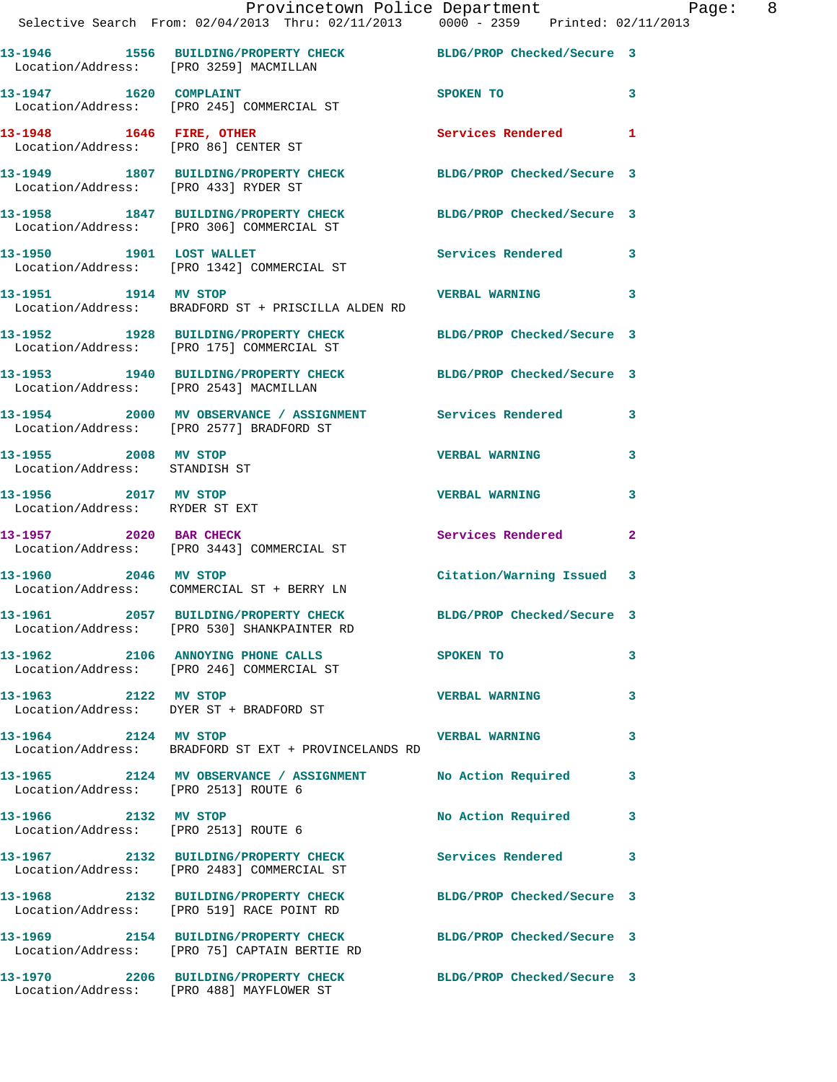|                                                        | Provincetown Police Department The Page: 8<br>Selective Search From: 02/04/2013 Thru: 02/11/2013 0000 - 2359 Printed: 02/11/2013 |                            |                            |
|--------------------------------------------------------|----------------------------------------------------------------------------------------------------------------------------------|----------------------------|----------------------------|
|                                                        | 13-1946 1556 BUILDING/PROPERTY CHECK BLDG/PROP Checked/Secure 3<br>Location/Address: [PRO 3259] MACMILLAN                        |                            |                            |
|                                                        |                                                                                                                                  | <b>SPOKEN TO</b>           | $\overline{\phantom{a}}$ 3 |
|                                                        | 13-1948 1646 FIRE, OTHER 13-1948 1646 1 2 Services Rendered 1                                                                    |                            |                            |
|                                                        | 13-1949 1807 BUILDING/PROPERTY CHECK BLDG/PROP Checked/Secure 3<br>Location/Address: [PRO 433] RYDER ST                          |                            |                            |
|                                                        | 13-1958 1847 BUILDING/PROPERTY CHECK BLDG/PROP Checked/Secure 3<br>Location/Address: [PRO 306] COMMERCIAL ST                     |                            |                            |
|                                                        | 13-1950 1901 LOST WALLET<br>Location/Address: [PRO 1342] COMMERCIAL ST                                                           | Services Rendered 3        |                            |
|                                                        | Location/Address: BRADFORD ST + PRISCILLA ALDEN RD                                                                               |                            |                            |
|                                                        | 13-1952 1928 BUILDING/PROPERTY CHECK BLDG/PROP Checked/Secure 3<br>Location/Address: [PRO 175] COMMERCIAL ST                     |                            |                            |
|                                                        | 13-1953 1940 BUILDING/PROPERTY CHECK BLDG/PROP Checked/Secure 3<br>Location/Address: [PRO 2543] MACMILLAN                        |                            |                            |
|                                                        | 13-1954 2000 MV OBSERVANCE / ASSIGNMENT Services Rendered 3<br>Location/Address: [PRO 2577] BRADFORD ST                          |                            |                            |
| 13-1955 2008 MV STOP<br>Location/Address: STANDISH ST  |                                                                                                                                  | <b>VERBAL WARNING</b>      | 3                          |
| 13-1956 2017 MV STOP<br>Location/Address: RYDER ST EXT |                                                                                                                                  | <b>VERBAL WARNING</b>      | 3                          |
|                                                        | 13-1957 2020 BAR CHECK<br>Location/Address: [PRO 3443] COMMERCIAL ST                                                             | Services Rendered          | $\mathbf{2}$               |
| 13-1960 2046 MV STOP                                   | Location/Address: COMMERCIAL ST + BERRY LN                                                                                       | Citation/Warning Issued 3  |                            |
|                                                        | 13-1961 2057 BUILDING/PROPERTY CHECK<br>Location/Address: [PRO 530] SHANKPAINTER RD                                              | BLDG/PROP Checked/Secure 3 |                            |
|                                                        | 13-1962 2106 ANNOYING PHONE CALLS<br>Location/Address: [PRO 246] COMMERCIAL ST                                                   | SPOKEN TO                  | 3                          |
|                                                        | 13-1963 2122 MV STOP<br>Location/Address: DYER ST + BRADFORD ST                                                                  | <b>VERBAL WARNING</b>      | 3                          |
| 13-1964 2124 MV STOP                                   | Location/Address: BRADFORD ST EXT + PROVINCELANDS RD                                                                             | <b>VERBAL WARNING</b>      | 3                          |
| Location/Address: [PRO 2513] ROUTE 6                   | 13-1965 2124 MV OBSERVANCE / ASSIGNMENT No Action Required                                                                       |                            | $\mathbf{3}$               |
| 13-1966 2132 MV STOP                                   | Location/Address: [PRO 2513] ROUTE 6                                                                                             | No Action Required 3       |                            |
|                                                        | 13-1967  2132 BUILDING/PROPERTY CHECK Services Rendered<br>Location/Address: [PRO 2483] COMMERCIAL ST                            |                            | 3                          |
|                                                        | 13-1968 2132 BUILDING/PROPERTY CHECK BLDG/PROP Checked/Secure 3<br>Location/Address: [PRO 519] RACE POINT RD                     |                            |                            |
|                                                        | 13-1969 2154 BUILDING/PROPERTY CHECK BLDG/PROP Checked/Secure 3<br>Location/Address: [PRO 75] CAPTAIN BERTIE RD                  |                            |                            |
|                                                        | 13-1970 2206 BUILDING/PROPERTY CHECK<br>Location/Address: [PRO 488] MAYFLOWER ST                                                 | BLDG/PROP Checked/Secure 3 |                            |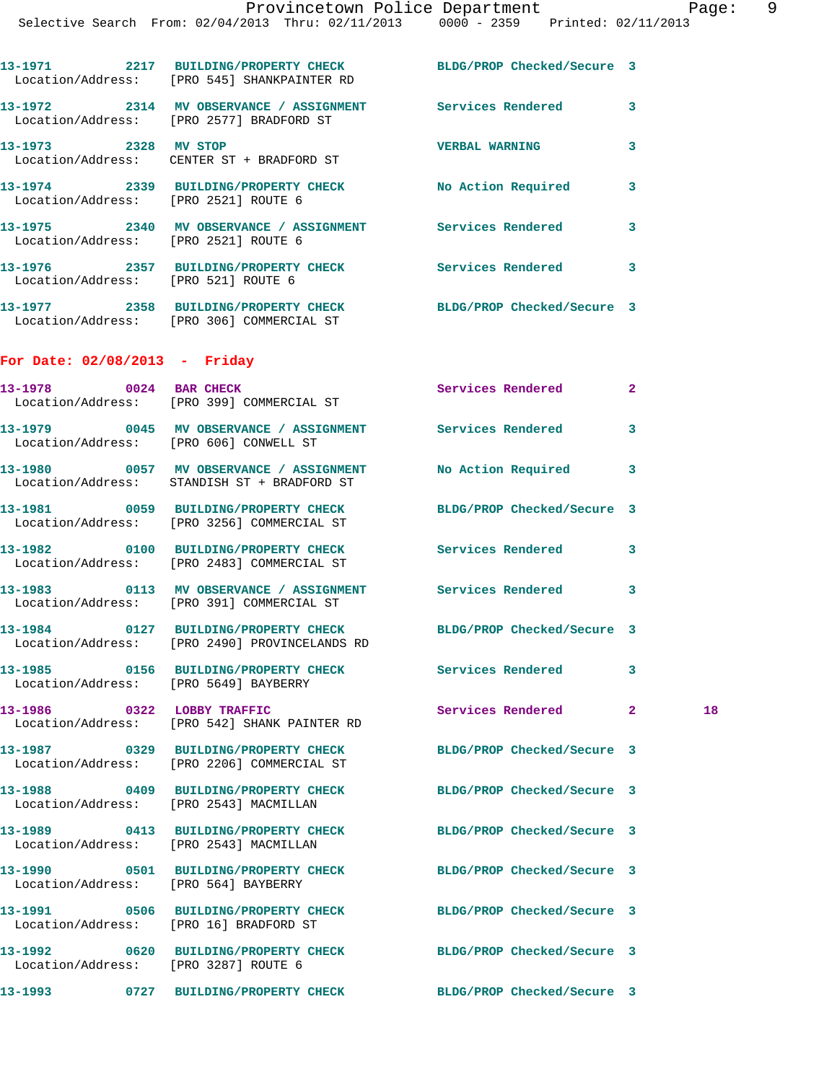| 13-1971<br>Location/Address: | 2217 | BUILDING/PROPERTY CHECK<br>[PRO 545] SHANKPAINTER RD | BLDG/PROP Checked/Secure 3 |  |
|------------------------------|------|------------------------------------------------------|----------------------------|--|
| 13–1972<br>Location/Address: | 2314 | MV OBSERVANCE / ASSIGNMENT<br>[PRO 2577] BRADFORD ST | Services Rendered          |  |
| 13-1973                      | 2328 | MV STOP                                              | <b>VERBAL WARNING</b>      |  |

 Location/Address: CENTER ST + BRADFORD ST **13-1974 2339 BUILDING/PROPERTY CHECK No Action Required 3**  Location/Address: [PRO 2521] ROUTE 6 **13-1975 2340 MV OBSERVANCE / ASSIGNMENT Services Rendered 3**  Location/Address: [PRO 2521] ROUTE 6 **13-1976 2357 BUILDING/PROPERTY CHECK Services Rendered 3** 

**13-1977 2358 BUILDING/PROPERTY CHECK BLDG/PROP Checked/Secure 3**  Location/Address: [PRO 306] COMMERCIAL ST

## **For Date: 02/08/2013 - Friday**

Location/Address: [PRO 521] ROUTE 6

| 13-1978 0024 BAR CHECK                 | Location/Address: [PRO 399] COMMERCIAL ST                                                                        | Services Rendered          | $\mathbf{2}$ |    |
|----------------------------------------|------------------------------------------------------------------------------------------------------------------|----------------------------|--------------|----|
|                                        | 13-1979 6045 MV OBSERVANCE / ASSIGNMENT Services Rendered<br>Location/Address: [PRO 606] CONWELL ST              |                            | 3            |    |
|                                        | 13-1980 6057 MV OBSERVANCE / ASSIGNMENT No Action Required<br>Location/Address: STANDISH ST + BRADFORD ST        |                            | 3            |    |
|                                        | 13-1981 0059 BUILDING/PROPERTY CHECK BLDG/PROP Checked/Secure 3<br>Location/Address: [PRO 3256] COMMERCIAL ST    |                            |              |    |
|                                        | 13-1982 0100 BUILDING/PROPERTY CHECK<br>Location/Address: [PRO 2483] COMMERCIAL ST                               | <b>Services Rendered</b>   | 3            |    |
|                                        | Location/Address: [PRO 391] COMMERCIAL ST                                                                        |                            |              |    |
|                                        | 13-1984 0127 BUILDING/PROPERTY CHECK BLDG/PROP Checked/Secure 3<br>Location/Address: [PRO 2490] PROVINCELANDS RD |                            |              |    |
| Location/Address: [PRO 5649] BAYBERRY  | 13-1985 0156 BUILDING/PROPERTY CHECK Services Rendered 3                                                         |                            |              |    |
|                                        | 13-1986 0322 LOBBY TRAFFIC<br>Location/Address: [PRO 542] SHANK PAINTER RD                                       | Services Rendered 2        |              | 18 |
|                                        | 13-1987 0329 BUILDING/PROPERTY CHECK<br>Location/Address: [PRO 2206] COMMERCIAL ST                               | BLDG/PROP Checked/Secure 3 |              |    |
|                                        | 13-1988 0409 BUILDING/PROPERTY CHECK<br>Location/Address: [PRO 2543] MACMILLAN                                   | BLDG/PROP Checked/Secure 3 |              |    |
| Location/Address: [PRO 2543] MACMILLAN | 13-1989 0413 BUILDING/PROPERTY CHECK                                                                             | BLDG/PROP Checked/Secure 3 |              |    |
| Location/Address: [PRO 564] BAYBERRY   | 13-1990 0501 BUILDING/PROPERTY CHECK BLDG/PROP Checked/Secure 3                                                  |                            |              |    |
|                                        | 13-1991 0506 BUILDING/PROPERTY CHECK<br>Location/Address: [PRO 16] BRADFORD ST                                   | BLDG/PROP Checked/Secure 3 |              |    |
| Location/Address: [PRO 3287] ROUTE 6   | 13-1992 0620 BUILDING/PROPERTY CHECK BLDG/PROP Checked/Secure 3                                                  |                            |              |    |
|                                        | 13-1993 0727 BUILDING/PROPERTY CHECK BLDG/PROP Checked/Secure 3                                                  |                            |              |    |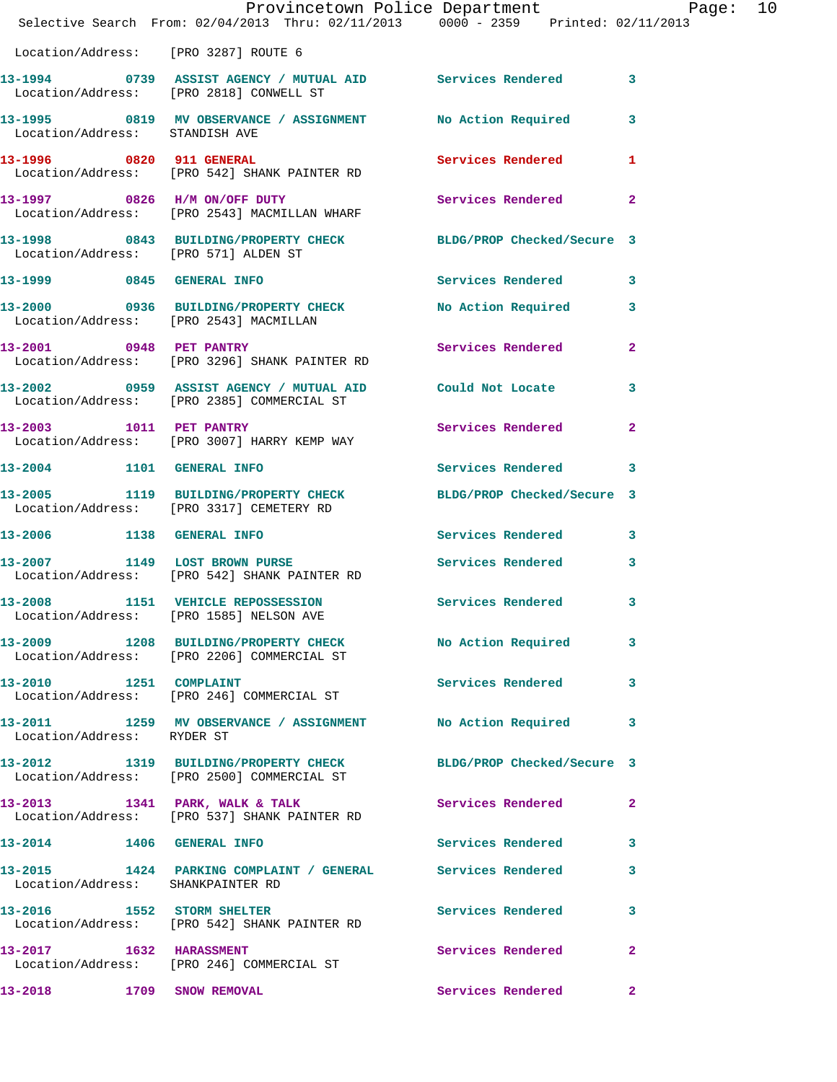|                                   | Provincetown Police Department Page: 10<br>Selective Search From: $02/04/2013$ Thru: $02/11/2013$ 0000 - 2359 Printed: $02/11/2013$ |                            |              |  |
|-----------------------------------|-------------------------------------------------------------------------------------------------------------------------------------|----------------------------|--------------|--|
|                                   | Location/Address: [PRO 3287] ROUTE 6                                                                                                |                            |              |  |
|                                   | 13-1994 0739 ASSIST AGENCY / MUTUAL AID Services Rendered 3<br>Location/Address: [PRO 2818] CONWELL ST                              |                            |              |  |
| Location/Address: STANDISH AVE    | 13-1995 0819 MV OBSERVANCE / ASSIGNMENT No Action Required 3                                                                        |                            |              |  |
| 13-1996 0820 911 GENERAL          | Location/Address: [PRO 542] SHANK PAINTER RD                                                                                        | <b>Services Rendered</b> 1 |              |  |
|                                   | 13-1997 0826 H/M ON/OFF DUTY<br>Location/Address: [PRO 2543] MACMILLAN WHARF                                                        | Services Rendered 2        |              |  |
|                                   | 13-1998 0843 BUILDING/PROPERTY CHECK BLDG/PROP Checked/Secure 3<br>Location/Address: [PRO 571] ALDEN ST                             |                            |              |  |
| 13-1999 0845 GENERAL INFO         |                                                                                                                                     | Services Rendered 3        |              |  |
|                                   | 13-2000 0936 BUILDING/PROPERTY CHECK No Action Required 3<br>Location/Address: [PRO 2543] MACMILLAN                                 |                            |              |  |
|                                   | 13-2001 0948 PET PANTRY<br>Location/Address: [PRO 3296] SHANK PAINTER RD                                                            | Services Rendered 2        |              |  |
|                                   | 13-2002 0959 ASSIST AGENCY / MUTUAL AID Could Not Locate 3<br>Location/Address: [PRO 2385] COMMERCIAL ST                            |                            |              |  |
|                                   | 13-2003 1011 PET PANTRY<br>Location/Address: [PRO 3007] HARRY KEMP WAY                                                              | Services Rendered 2        |              |  |
| 13-2004 1101 GENERAL INFO         |                                                                                                                                     | Services Rendered 3        |              |  |
|                                   | 13-2005 1119 BUILDING/PROPERTY CHECK BLDG/PROP Checked/Secure 3<br>Location/Address: [PRO 3317] CEMETERY RD                         |                            |              |  |
|                                   | 13-2006 1138 GENERAL INFO                                                                                                           | Services Rendered 3        |              |  |
|                                   | 13-2007 1149 LOST BROWN PURSE<br>Location/Address: [PRO 542] SHANK PAINTER RD                                                       | Services Rendered 3        |              |  |
| 13-2008                           | 1151 VEHICLE REPOSSESSION Services Rendered 3<br>Location/Address: [PRO 1585] NELSON AVE                                            |                            |              |  |
|                                   | 13-2009 1208 BUILDING/PROPERTY CHECK No Action Required 3<br>Location/Address: [PRO 2206] COMMERCIAL ST                             |                            |              |  |
|                                   | 13-2010 1251 COMPLAINT<br>Location/Address: [PRO 246] COMMERCIAL ST                                                                 | Services Rendered 3        |              |  |
| Location/Address: RYDER ST        | 13-2011 1259 MV OBSERVANCE / ASSIGNMENT No Action Required                                                                          |                            | 3            |  |
|                                   | 13-2012 1319 BUILDING/PROPERTY CHECK BLDG/PROP Checked/Secure 3<br>Location/Address: [PRO 2500] COMMERCIAL ST                       |                            |              |  |
|                                   | 13-2013 1341 PARK, WALK & TALK<br>Location/Address: [PRO 537] SHANK PAINTER RD                                                      | Services Rendered          | $\mathbf{2}$ |  |
| 13-2014 1406 GENERAL INFO         |                                                                                                                                     | Services Rendered 3        |              |  |
| Location/Address: SHANKPAINTER RD | 13-2015 1424 PARKING COMPLAINT / GENERAL Services Rendered                                                                          |                            | 3            |  |
|                                   | 13-2016 1552 STORM SHELTER<br>Location/Address: [PRO 542] SHANK PAINTER RD                                                          | <b>Services Rendered</b>   | $\mathbf{3}$ |  |
|                                   | 13-2017 1632 HARASSMENT<br>Location/Address: [PRO 246] COMMERCIAL ST                                                                | Services Rendered          | $\mathbf{2}$ |  |
| 13-2018                           | 1709 SNOW REMOVAL                                                                                                                   | Services Rendered 2        |              |  |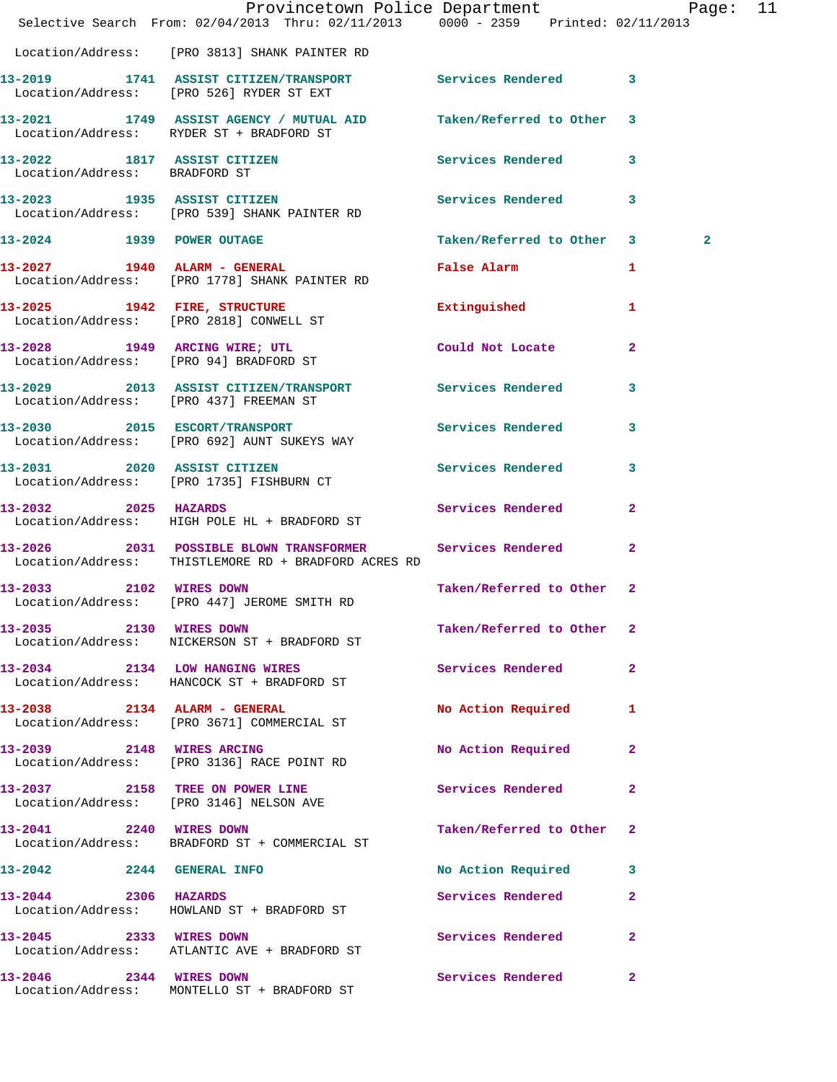|                               | Provincetown Police Department Page: 11<br>Selective Search From: 02/04/2013 Thru: 02/11/2013 0000 - 2359 Printed: 02/11/2013 |                               |              |                |  |
|-------------------------------|-------------------------------------------------------------------------------------------------------------------------------|-------------------------------|--------------|----------------|--|
|                               | Location/Address: [PRO 3813] SHANK PAINTER RD                                                                                 |                               |              |                |  |
|                               | 13-2019 1741 ASSIST CITIZEN/TRANSPORT Services Rendered 3<br>Location/Address: [PRO 526] RYDER ST EXT                         |                               |              |                |  |
|                               | 13-2021 1749 ASSIST AGENCY / MUTUAL AID Taken/Referred to Other 3<br>Location/Address: RYDER ST + BRADFORD ST                 |                               |              |                |  |
| Location/Address: BRADFORD ST | 13-2022 1817 ASSIST CITIZEN                                                                                                   | Services Rendered 3           |              |                |  |
|                               | 13-2023 1935 ASSIST CITIZEN Services Rendered<br>Location/Address: [PRO 539] SHANK PAINTER RD                                 |                               | 3            |                |  |
|                               | 13-2024 1939 POWER OUTAGE                                                                                                     | Taken/Referred to Other 3     |              | $\overline{a}$ |  |
|                               | 13-2027 1940 ALARM - GENERAL<br>Location/Address: [PRO 1778] SHANK PAINTER RD                                                 | False Alarm <b>Example 20</b> | 1            |                |  |
|                               | 13-2025 1942 FIRE, STRUCTURE<br>Location/Address: [PRO 2818] CONWELL ST                                                       | Extinguished 1                |              |                |  |
|                               | 13-2028 1949 ARCING WIRE; UTL Could Not Locate<br>Location/Address: [PRO 94] BRADFORD ST                                      |                               | $\mathbf{2}$ |                |  |
|                               | 13-2029 2013 ASSIST CITIZEN/TRANSPORT Services Rendered 3<br>Location/Address: [PRO 437] FREEMAN ST                           |                               |              |                |  |
|                               | 13-2030 2015 ESCORT/TRANSPORT<br>Location/Address: [PRO 692] AUNT SUKEYS WAY                                                  | Services Rendered 3           |              |                |  |
|                               | 13-2031 2020 ASSIST CITIZEN<br>Location/Address: [PRO 1735] FISHBURN CT                                                       | <b>Services Rendered</b>      | 3            |                |  |
|                               | 13-2032 2025 HAZARDS<br>Location/Address: HIGH POLE HL + BRADFORD ST                                                          | <b>Services Rendered</b>      | $\mathbf{2}$ |                |  |
|                               | 13-2026 2031 POSSIBLE BLOWN TRANSFORMER Services Rendered<br>Location/Address: THISTLEMORE RD + BRADFORD ACRES RD             |                               | $\mathbf{2}$ |                |  |
|                               | 13-2033 2102 WIRES DOWN<br>Location/Address: [PRO 447] JEROME SMITH RD                                                        | Taken/Referred to Other 2     |              |                |  |
| 13-2035 2130 WIRES DOWN       | Location/Address: NICKERSON ST + BRADFORD ST                                                                                  | Taken/Referred to Other 2     |              |                |  |
|                               | 13-2034 2134 LOW HANGING WIRES<br>Location/Address: HANCOCK ST + BRADFORD ST                                                  | Services Rendered             | -2           |                |  |
|                               | 13-2038 2134 ALARM - GENERAL<br>Location/Address: [PRO 3671] COMMERCIAL ST                                                    | No Action Required            | 1            |                |  |
|                               | 13-2039 2148 WIRES ARCING<br>Location/Address: [PRO 3136] RACE POINT RD                                                       | No Action Required            | 2            |                |  |
|                               | 13-2037 2158 TREE ON POWER LINE<br>Location/Address: [PRO 3146] NELSON AVE                                                    | Services Rendered             | 2            |                |  |
| 13-2041 2240 WIRES DOWN       | Location/Address: BRADFORD ST + COMMERCIAL ST                                                                                 | Taken/Referred to Other       | -2           |                |  |
| 13-2042 2244 GENERAL INFO     |                                                                                                                               | No Action Required            | 3            |                |  |
| 13-2044 2306 HAZARDS          | Location/Address: HOWLAND ST + BRADFORD ST                                                                                    | Services Rendered             | $\mathbf{2}$ |                |  |
| 13-2045 2333 WIRES DOWN       | Location/Address: ATLANTIC AVE + BRADFORD ST                                                                                  | Services Rendered             | $\mathbf{2}$ |                |  |
| 13-2046 2344 WIRES DOWN       | Location/Address: MONTELLO ST + BRADFORD ST                                                                                   | Services Rendered             | 2            |                |  |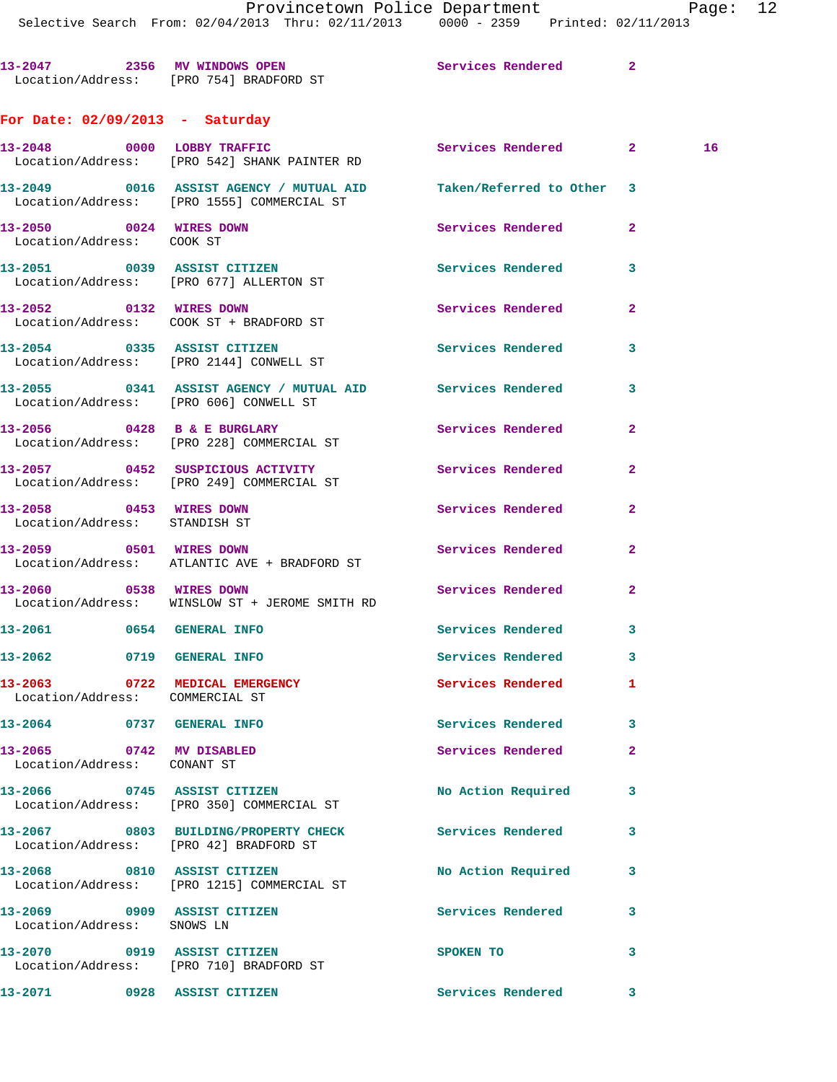Selective Search From: 02/04/2013 Thru: 02/11/2013 0000 - 2359 Printed: 02/11/2013

**13-2047 2356 MV WINDOWS OPEN Services Rendered 2**  Location/Address: [PRO 754] BRADFORD ST **For Date: 02/09/2013 - Saturday 13-2048 0000 LOBBY TRAFFIC Services Rendered 2 16**  Location/Address: [PRO 542] SHANK PAINTER RD **13-2049 0016 ASSIST AGENCY / MUTUAL AID Taken/Referred to Other 3**  Location/Address: [PRO 1555] COMMERCIAL ST **13-2050 0024 WIRES DOWN Services Rendered 2**  Location/Address: COOK ST **13-2051 0039 ASSIST CITIZEN Services Rendered 3**  Location/Address: [PRO 677] ALLERTON ST **13-2052 0132 WIRES DOWN Services Rendered 2**  Location/Address: COOK ST + BRADFORD ST **13-2054 0335 ASSIST CITIZEN Services Rendered 3**  Location/Address: [PRO 2144] CONWELL ST **13-2055 0341 ASSIST AGENCY / MUTUAL AID Services Rendered 3**  Location/Address: [PRO 606] CONWELL ST **13-2056 0428 B & E BURGLARY Services Rendered 2**  Location/Address: [PRO 228] COMMERCIAL ST **13-2057 0452 SUSPICIOUS ACTIVITY Services Rendered 2**  Location/Address: [PRO 249] COMMERCIAL ST **13-2058 0453 WIRES DOWN Services Rendered 2**  Location/Address: STANDISH ST **13-2059 0501 WIRES DOWN Services Rendered 2**  Location/Address: ATLANTIC AVE + BRADFORD ST **13-2060 0538 WIRES DOWN Services Rendered 2**  Location/Address: WINSLOW ST + JEROME SMITH RD **13-2061 0654 GENERAL INFO Services Rendered 3 13-2062 0719 GENERAL INFO Services Rendered 3 13-2063 0722 MEDICAL EMERGENCY Services Rendered 1**  Location/Address: COMMERCIAL ST **13-2064 0737 GENERAL INFO Services Rendered 3 13-2065 0742 MV DISABLED Services Rendered 2**  Location/Address: CONANT ST **13-2066 0745 ASSIST CITIZEN No Action Required 3**  Location/Address: [PRO 350] COMMERCIAL ST **13-2067 0803 BUILDING/PROPERTY CHECK Services Rendered 3**  Location/Address: [PRO 42] BRADFORD ST **13-2068 0810 ASSIST CITIZEN No Action Required 3**  Location/Address: [PRO 1215] COMMERCIAL ST

**13-2069 0909 ASSIST CITIZEN Services Rendered 3**  Location/Address: SNOWS LN **13-2070 0919 ASSIST CITIZEN SPOKEN TO 3**  Location/Address: [PRO 710] BRADFORD ST **13-2071 0928 ASSIST CITIZEN Services Rendered 3**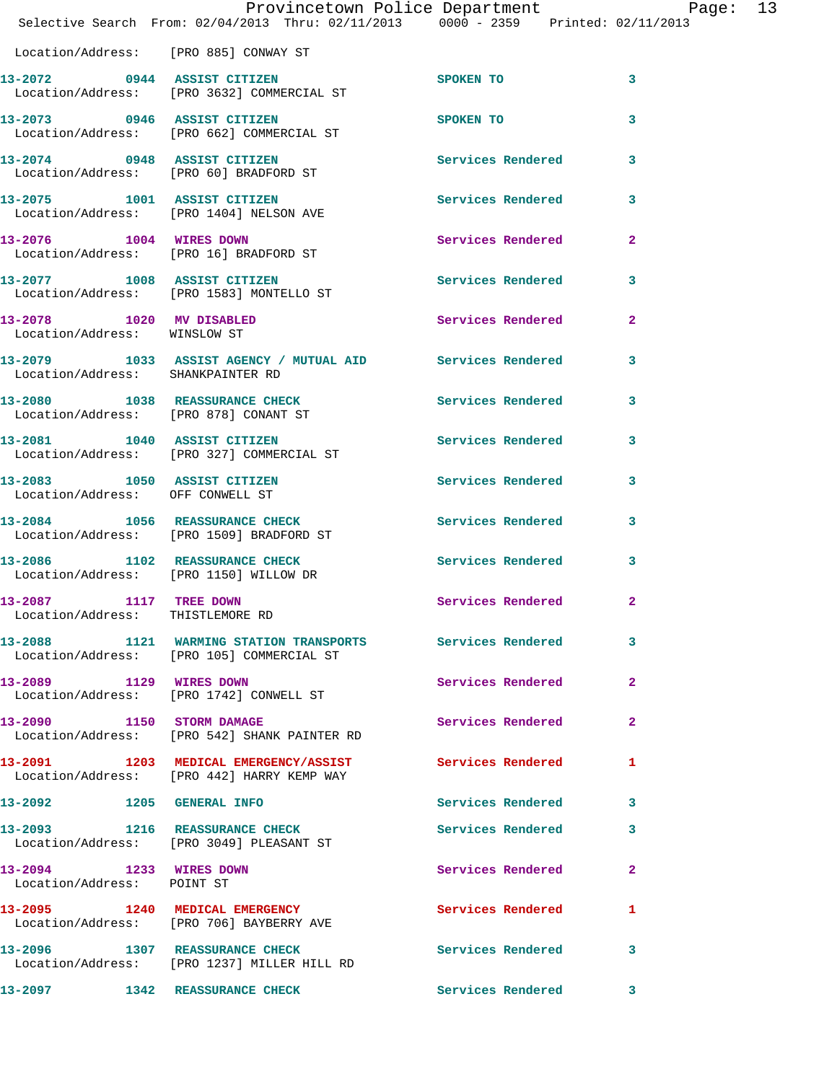|                                                               | Provincetown Police Department Page: 13<br>Selective Search From: 02/04/2013 Thru: 02/11/2013 0000 - 2359 Printed: 02/11/2013 |                          |                            |  |
|---------------------------------------------------------------|-------------------------------------------------------------------------------------------------------------------------------|--------------------------|----------------------------|--|
|                                                               | Location/Address: [PRO 885] CONWAY ST                                                                                         |                          |                            |  |
|                                                               | 13-2072 0944 ASSIST CITIZEN<br>Location/Address: [PRO 3632] COMMERCIAL ST                                                     | <b>SPOKEN TO</b>         | $\overline{\phantom{a}}$ 3 |  |
|                                                               | 13-2073 0946 ASSIST CITIZEN<br>Location/Address: [PRO 662] COMMERCIAL ST                                                      | SPOKEN TO                | 3                          |  |
|                                                               | 13-2074 0948 ASSIST CITIZEN<br>Location/Address: [PRO 60] BRADFORD ST                                                         | Services Rendered 3      |                            |  |
|                                                               | 13-2075 1001 ASSIST CITIZEN<br>Location/Address: [PRO 1404] NELSON AVE                                                        | Services Rendered 3      |                            |  |
| 13-2076 1004 WIRES DOWN                                       | Location/Address: [PRO 16] BRADFORD ST                                                                                        | Services Rendered 2      |                            |  |
|                                                               | 13-2077 1008 ASSIST CITIZEN<br>Location/Address: [PRO 1583] MONTELLO ST                                                       | Services Rendered 3      |                            |  |
| 13-2078 1020 MV DISABLED<br>Location/Address: WINSLOW ST      |                                                                                                                               | Services Rendered        | $\overline{2}$             |  |
| Location/Address: SHANKPAINTER RD                             | 13-2079 1033 ASSIST AGENCY / MUTUAL AID Services Rendered 3                                                                   |                          |                            |  |
|                                                               | 13-2080 1038 REASSURANCE CHECK<br>Location/Address: [PRO 878] CONANT ST                                                       | Services Rendered 3      |                            |  |
|                                                               | 13-2081 1040 ASSIST CITIZEN<br>Location/Address: [PRO 327] COMMERCIAL ST                                                      | Services Rendered 3      |                            |  |
| Location/Address: OFF CONWELL ST                              | 13-2083 1050 ASSIST CITIZEN                                                                                                   | Services Rendered        | 3                          |  |
|                                                               | 13-2084 1056 REASSURANCE CHECK<br>Location/Address: [PRO 1509] BRADFORD ST                                                    | Services Rendered 3      |                            |  |
|                                                               | 13-2086 1102 REASSURANCE CHECK<br>Location/Address: [PRO 1150] WILLOW DR                                                      | <b>Services Rendered</b> | $\overline{\mathbf{3}}$    |  |
| 1117 TREE DOWN<br>13-2087<br>Location/Address: THISTLEMORE RD |                                                                                                                               | Services Rendered 2      |                            |  |
|                                                               | 13-2088 1121 WARMING STATION TRANSPORTS Services Rendered<br>Location/Address: [PRO 105] COMMERCIAL ST                        |                          | 3                          |  |
|                                                               | 13-2089 1129 WIRES DOWN<br>Location/Address: [PRO 1742] CONWELL ST                                                            | Services Rendered        | $\mathbf{2}$               |  |
|                                                               | 13-2090 1150 STORM DAMAGE<br>Location/Address: [PRO 542] SHANK PAINTER RD                                                     | Services Rendered        | $\mathbf{2}$               |  |
|                                                               | 13-2091 1203 MEDICAL EMERGENCY/ASSIST<br>Location/Address: [PRO 442] HARRY KEMP WAY                                           | <b>Services Rendered</b> | 1                          |  |
| 13-2092 1205 GENERAL INFO                                     |                                                                                                                               | Services Rendered 3      |                            |  |
|                                                               | 13-2093 1216 REASSURANCE CHECK<br>Location/Address: [PRO 3049] PLEASANT ST                                                    | Services Rendered        | 3                          |  |
| 13-2094 1233 WIRES DOWN<br>Location/Address: POINT ST         |                                                                                                                               | Services Rendered        | $\mathbf{2}$               |  |
|                                                               | 13-2095 1240 MEDICAL EMERGENCY<br>Location/Address: [PRO 706] BAYBERRY AVE                                                    | Services Rendered        | 1                          |  |
|                                                               | 13-2096 1307 REASSURANCE CHECK<br>Location/Address: [PRO 1237] MILLER HILL RD                                                 | <b>Services Rendered</b> | $\mathbf{3}$               |  |
|                                                               | 13-2097 1342 REASSURANCE CHECK                                                                                                | Services Rendered 3      |                            |  |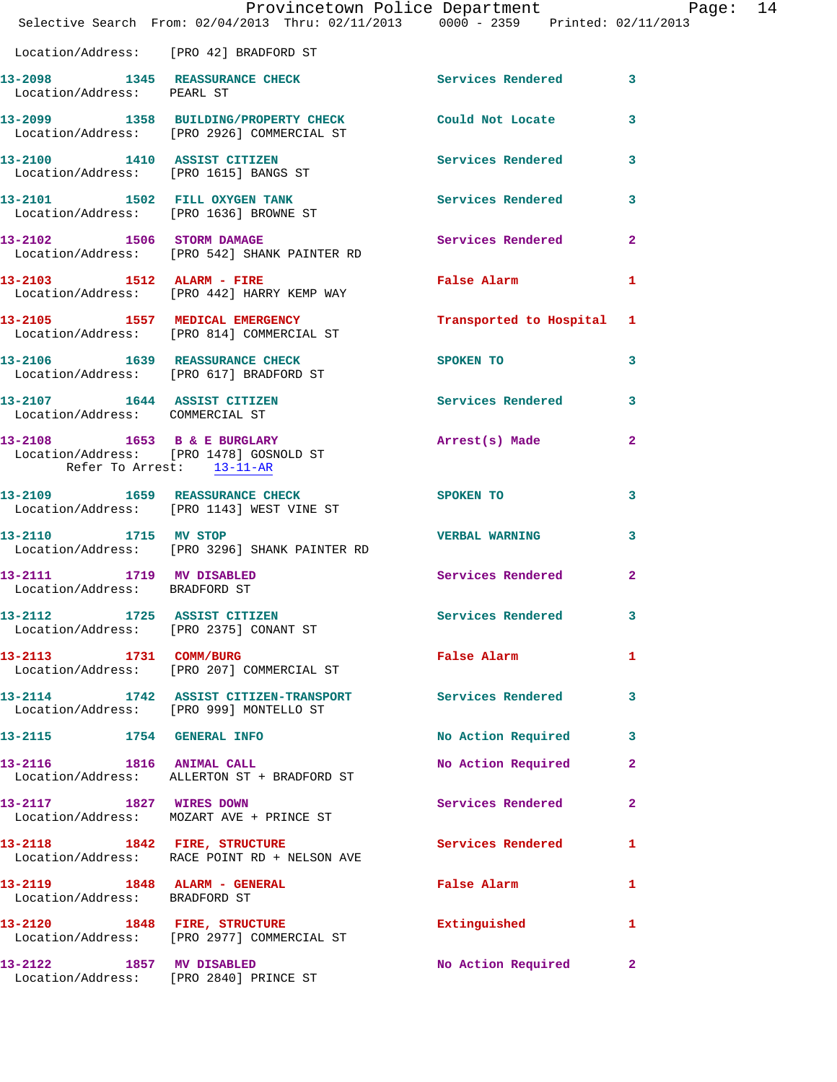|                                                               | Provincetown Police Department Page: 14<br>Selective Search From: 02/04/2013 Thru: 02/11/2013 0000 - 2359 Printed: 02/11/2013 |                                                                                                                                                                                                                               |              |  |
|---------------------------------------------------------------|-------------------------------------------------------------------------------------------------------------------------------|-------------------------------------------------------------------------------------------------------------------------------------------------------------------------------------------------------------------------------|--------------|--|
|                                                               | Location/Address: [PRO 42] BRADFORD ST                                                                                        |                                                                                                                                                                                                                               |              |  |
| Location/Address: PEARL ST                                    | 13-2098 1345 REASSURANCE CHECK Services Rendered 3                                                                            |                                                                                                                                                                                                                               |              |  |
|                                                               | 13-2099 1358 BUILDING/PROPERTY CHECK Could Not Locate 3<br>Location/Address: [PRO 2926] COMMERCIAL ST                         |                                                                                                                                                                                                                               |              |  |
|                                                               | 13-2100 1410 ASSIST CITIZEN<br>Location/Address: [PRO 1615] BANGS ST                                                          | Services Rendered 3                                                                                                                                                                                                           |              |  |
|                                                               | 13-2101 1502 FILL OXYGEN TANK 1997 Services Rendered 3<br>Location/Address: [PRO 1636] BROWNE ST                              |                                                                                                                                                                                                                               |              |  |
|                                                               | 13-2102 1506 STORM DAMAGE<br>Location/Address: [PRO 542] SHANK PAINTER RD                                                     | Services Rendered 2                                                                                                                                                                                                           |              |  |
|                                                               | 13-2103 1512 ALARM - FIRE<br>Location/Address: [PRO 442] HARRY KEMP WAY                                                       | False Alarm <b>Exercise Service Service</b>                                                                                                                                                                                   | $\mathbf{1}$ |  |
|                                                               | 13-2105 1557 MEDICAL EMERGENCY 1 Transported to Hospital 1<br>Location/Address: [PRO 814] COMMERCIAL ST                       |                                                                                                                                                                                                                               |              |  |
|                                                               | 13-2106 1639 REASSURANCE CHECK<br>Location/Address: [PRO 617] BRADFORD ST                                                     | SPOKEN TO THE STATE OF THE STATE OF THE STATE OF THE STATE OF THE STATE OF THE STATE OF THE STATE OF THE STATE OF THE STATE OF THE STATE OF THE STATE OF THE STATE OF THE STATE OF THE STATE OF THE STATE OF THE STATE OF THE | $\mathbf{3}$ |  |
| Location/Address: COMMERCIAL ST                               | 13-2107 1644 ASSIST CITIZEN                                                                                                   | Services Rendered 3                                                                                                                                                                                                           |              |  |
| Refer To Arrest: 13-11-AR                                     | 13-2108 1653 B & E BURGLARY<br>Location/Address: [PRO 1478] GOSNOLD ST                                                        | Arrest(s) Made                                                                                                                                                                                                                | $\mathbf{2}$ |  |
|                                                               | 13-2109 1659 REASSURANCE CHECK<br>Location/Address: [PRO 1143] WEST VINE ST                                                   | SPOKEN TO                                                                                                                                                                                                                     | 3            |  |
|                                                               | 13-2110 1715 MV STOP<br>Location/Address: [PRO 3296] SHANK PAINTER RD                                                         | VERBAL WARNING 3                                                                                                                                                                                                              |              |  |
| 13-2111 1719 MV DISABLED<br>Location/Address: BRADFORD ST     |                                                                                                                               | Services Rendered 2                                                                                                                                                                                                           |              |  |
| 13-2112                                                       | 1725 ASSIST CITIZEN<br>Location/Address: [PRO 2375] CONANT ST                                                                 | Services Rendered                                                                                                                                                                                                             | 3            |  |
| 13-2113 1731 COMM/BURG                                        | Location/Address: [PRO 207] COMMERCIAL ST                                                                                     | False Alarm and the state of the state of the state of the state of the state of the state of the state of the                                                                                                                | $\mathbf{1}$ |  |
|                                                               | 13-2114 1742 ASSIST CITIZEN-TRANSPORT Services Rendered 3<br>Location/Address: [PRO 999] MONTELLO ST                          |                                                                                                                                                                                                                               |              |  |
|                                                               | 13-2115 1754 GENERAL INFO                                                                                                     | No Action Required 3                                                                                                                                                                                                          |              |  |
|                                                               | 13-2116 1816 ANIMAL CALL<br>Location/Address: ALLERTON ST + BRADFORD ST                                                       | No Action Required                                                                                                                                                                                                            | $\mathbf{2}$ |  |
| 13-2117 1827 WIRES DOWN                                       | Location/Address: MOZART AVE + PRINCE ST                                                                                      | Services Rendered 2                                                                                                                                                                                                           |              |  |
|                                                               | 13-2118 1842 FIRE, STRUCTURE<br>Location/Address: RACE POINT RD + NELSON AVE                                                  | Services Rendered                                                                                                                                                                                                             | 1            |  |
| 13-2119 1848 ALARM - GENERAL<br>Location/Address: BRADFORD ST |                                                                                                                               | False Alarm                                                                                                                                                                                                                   | $\mathbf{1}$ |  |
|                                                               | 13-2120 1848 FIRE, STRUCTURE<br>Location/Address: [PRO 2977] COMMERCIAL ST                                                    | Extinguished                                                                                                                                                                                                                  | $\mathbf{1}$ |  |
| 13-2122 1857 MV DISABLED                                      | Location/Address: [PRO 2840] PRINCE ST                                                                                        | No Action Required 2                                                                                                                                                                                                          |              |  |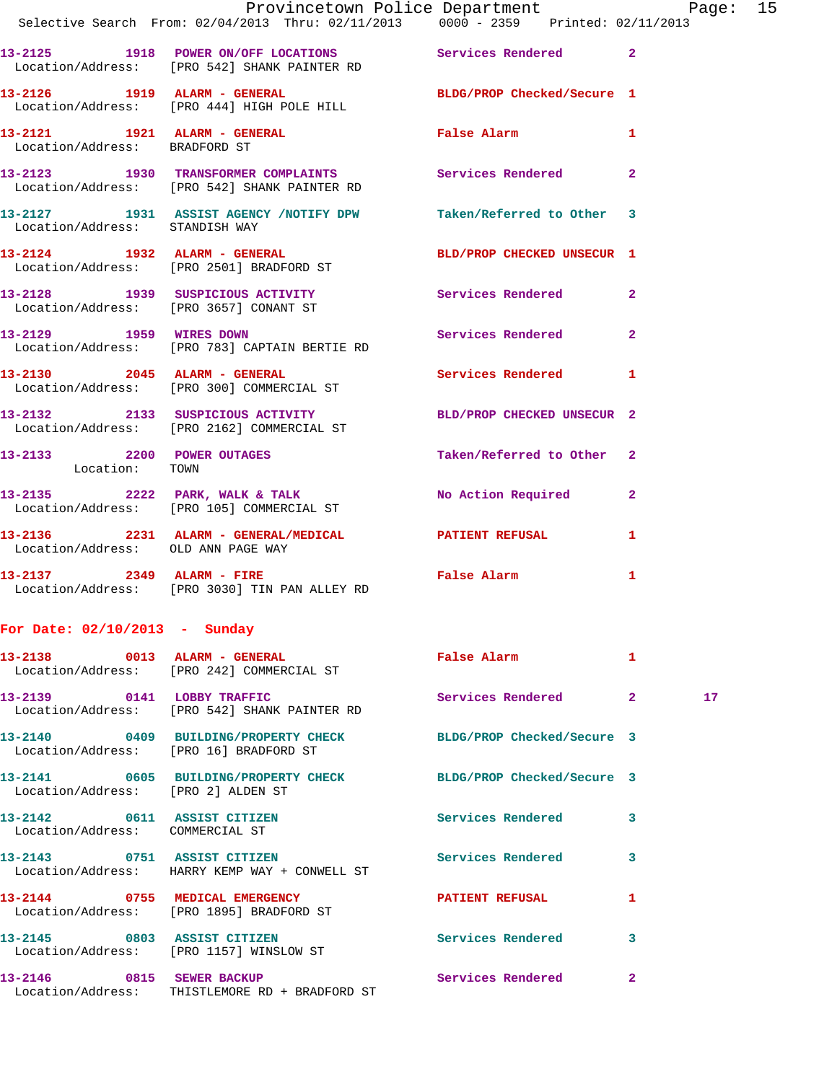|                                    | Provincetown Police Department Page: 15                                                                   |                            |  |
|------------------------------------|-----------------------------------------------------------------------------------------------------------|----------------------------|--|
|                                    | Selective Search From: $02/04/2013$ Thru: $02/11/2013$ 0000 - 2359 Printed: 02/11/2013                    |                            |  |
|                                    | 13-2125 1918 POWER ON/OFF LOCATIONS Services Rendered 2<br>Location/Address: [PRO 542] SHANK PAINTER RD   |                            |  |
|                                    | 13-2126 1919 ALARM - GENERAL BLDG/PROP Checked/Secure 1<br>Location/Address: [PRO 444] HIGH POLE HILL     |                            |  |
| Location/Address: BRADFORD ST      | 13-2121 1921 ALARM - GENERAL 1 False Alarm 1                                                              |                            |  |
|                                    | 13-2123 1930 TRANSFORMER COMPLAINTS Services Rendered 2<br>Location/Address: [PRO 542] SHANK PAINTER RD   |                            |  |
| Location/Address: STANDISH WAY     | 13-2127 1931 ASSIST AGENCY /NOTIFY DPW Taken/Referred to Other 3                                          |                            |  |
|                                    | 13-2124 1932 ALARM - GENERAL<br>Location/Address: [PRO 2501] BRADFORD ST                                  | BLD/PROP CHECKED UNSECUR 1 |  |
|                                    | 13-2128 1939 SUSPICIOUS ACTIVITY 1999 Services Rendered 2<br>Location/Address: [PRO 3657] CONANT ST       |                            |  |
|                                    | 13-2129 1959 WIRES DOWN Services Rendered 2<br>Location/Address: [PRO 783] CAPTAIN BERTIE RD              |                            |  |
|                                    | 13-2130 2045 ALARM - GENERAL<br>Location/Address: [PRO 300] COMMERCIAL ST                                 | Services Rendered 1        |  |
|                                    | 13-2132 2133 SUSPICIOUS ACTIVITY BLD/PROP CHECKED UNSECUR 2<br>Location/Address: [PRO 2162] COMMERCIAL ST |                            |  |
| Location: TOWN                     | 13-2133 2200 POWER OUTAGES                                                                                | Taken/Referred to Other 2  |  |
|                                    | 13-2135 2222 PARK, WALK & TALK 2 No Action Required 2<br>Location/Address: [PRO 105] COMMERCIAL ST        |                            |  |
| Location/Address: OLD ANN PAGE WAY | 13-2136  2231 ALARM - GENERAL/MEDICAL  PATIENT REFUSAL  1                                                 |                            |  |
|                                    | 13-2137 2349 ALARM - FIRE<br>Location/Address: [PRO 3030] TIN PAN ALLEY RD                                | False Alarm 1              |  |
| For Date: $02/10/2013$ - Sunday    |                                                                                                           |                            |  |

|                                                                | 13-2138 0013 ALARM - GENERAL<br>Location/Address: [PRO 242] COMMERCIAL ST  | <b>Example 2</b> False Alarm |                         |    |
|----------------------------------------------------------------|----------------------------------------------------------------------------|------------------------------|-------------------------|----|
|                                                                | Location/Address: [PRO 542] SHANK PAINTER RD                               | Services Rendered 2          |                         | 17 |
| Location/Address: [PRO 16] BRADFORD ST                         | 13-2140  0409 BUILDING/PROPERTY CHECK BLDG/PROP Checked/Secure 3           |                              |                         |    |
| Location/Address: [PRO 2] ALDEN ST                             | 13-2141 0605 BUILDING/PROPERTY CHECK BLDG/PROP Checked/Secure 3            |                              |                         |    |
| 13-2142 0611 ASSIST CITIZEN<br>Location/Address: COMMERCIAL ST |                                                                            | <b>Services Rendered</b>     | 3                       |    |
| 13-2143 0751 ASSIST CITIZEN                                    | Location/Address: HARRY KEMP WAY + CONWELL ST                              | <b>Services Rendered</b>     | 3                       |    |
|                                                                | 13-2144 0755 MEDICAL EMERGENCY<br>Location/Address: [PRO 1895] BRADFORD ST | <b>PATIENT REFUSAL</b>       | 1                       |    |
|                                                                | 13-2145 0803 ASSIST CITIZEN<br>Location/Address: [PRO 1157] WINSLOW ST     | <b>Services Rendered</b>     | $\overline{\mathbf{3}}$ |    |
|                                                                | Location/Address: THISTLEMORE RD + BRADFORD ST                             |                              | $\overline{2}$          |    |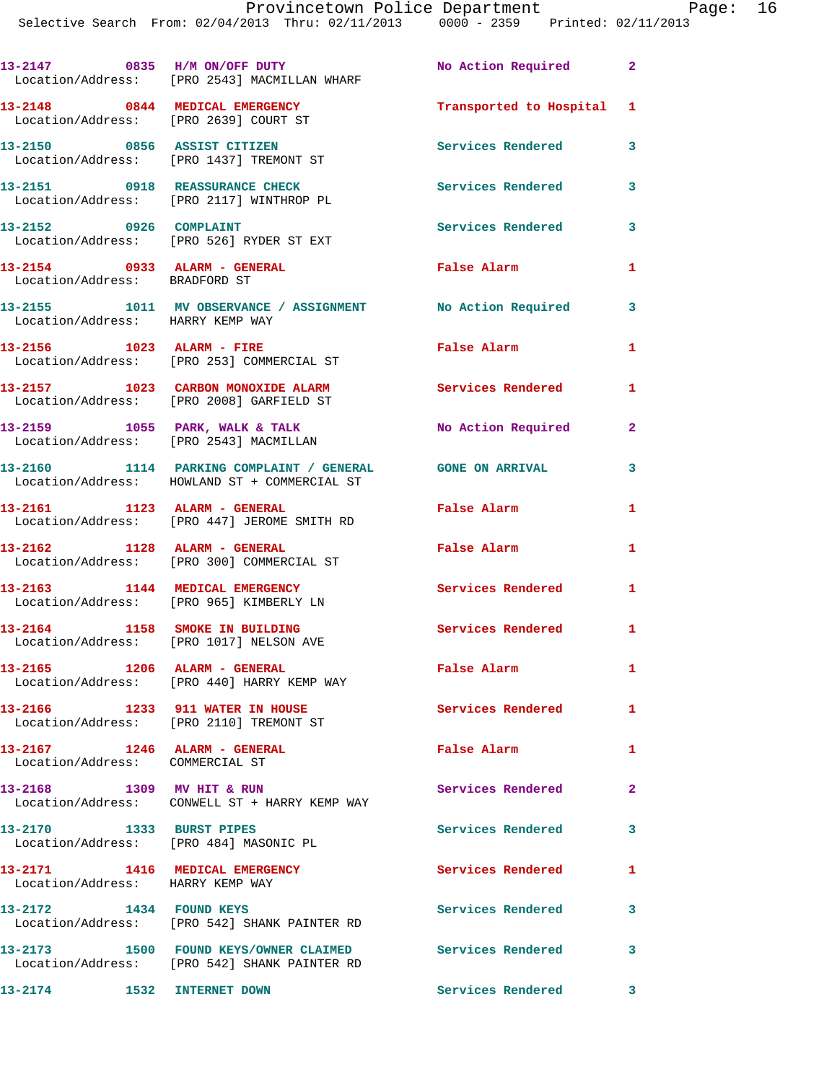|                                                                         | 13-2147 0835 H/M ON/OFF DUTY<br>Location/Address: [PRO 2543] MACMILLAN WHARF                             | No Action Required 2      |                         |
|-------------------------------------------------------------------------|----------------------------------------------------------------------------------------------------------|---------------------------|-------------------------|
| 13-2148 0844 MEDICAL EMERGENCY<br>Location/Address: [PRO 2639] COURT ST |                                                                                                          | Transported to Hospital 1 |                         |
|                                                                         | 13-2150 0856 ASSIST CITIZEN<br>Location/Address: [PRO 1437] TREMONT ST                                   | Services Rendered         | 3                       |
| 13-2151 0918 REASSURANCE CHECK                                          | Location/Address: [PRO 2117] WINTHROP PL                                                                 | <b>Services Rendered</b>  | 3                       |
| 13-2152 0926 COMPLAINT                                                  | Location/Address: [PRO 526] RYDER ST EXT                                                                 | <b>Services Rendered</b>  | 3                       |
| 13-2154 0933 ALARM - GENERAL<br>Location/Address: BRADFORD ST           |                                                                                                          | <b>False Alarm</b>        | 1                       |
| Location/Address: HARRY KEMP WAY                                        | 13-2155 1011 MV OBSERVANCE / ASSIGNMENT No Action Required                                               |                           | 3                       |
|                                                                         | Location/Address: [PRO 253] COMMERCIAL ST                                                                | False Alarm               | 1                       |
|                                                                         | 13-2157 1023 CARBON MONOXIDE ALARM<br>Location/Address: [PRO 2008] GARFIELD ST                           | Services Rendered         | 1                       |
|                                                                         | 13-2159 1055 PARK, WALK & TALK<br>Location/Address: [PRO 2543] MACMILLAN                                 | No Action Required        | $\overline{2}$          |
|                                                                         | 13-2160 1114 PARKING COMPLAINT / GENERAL GONE ON ARRIVAL<br>Location/Address: HOWLAND ST + COMMERCIAL ST |                           | 3                       |
|                                                                         | 13-2161 1123 ALARM - GENERAL<br>Location/Address: [PRO 447] JEROME SMITH RD                              | False Alarm               | 1                       |
| 13-2162 1128 ALARM - GENERAL                                            | Location/Address: [PRO 300] COMMERCIAL ST                                                                | False Alarm               | 1                       |
|                                                                         | 13-2163 1144 MEDICAL EMERGENCY<br>Location/Address: [PRO 965] KIMBERLY LN                                | <b>Services Rendered</b>  | $\mathbf{1}$            |
| 13-2164 1158 SMOKE IN BUILDING                                          | Location/Address: [PRO 1017] NELSON AVE                                                                  | <b>Services Rendered</b>  | $\mathbf{1}$            |
| 13-2165 1206 ALARM - GENERAL                                            | Location/Address: [PRO 440] HARRY KEMP WAY                                                               | False Alarm               | $\mathbf{1}$            |
| 13-2166 1233 911 WATER IN HOUSE                                         | Location/Address: [PRO 2110] TREMONT ST                                                                  | Services Rendered         | $\mathbf{1}$            |
| 13-2167 1246 ALARM - GENERAL<br>Location/Address: COMMERCIAL ST         |                                                                                                          | False Alarm               | 1                       |
| 13-2168 1309 MV HIT & RUN                                               | Location/Address: CONWELL ST + HARRY KEMP WAY                                                            | Services Rendered         | $\mathbf{2}$            |
| 13-2170 1333 BURST PIPES<br>Location/Address: [PRO 484] MASONIC PL      |                                                                                                          | <b>Services Rendered</b>  | 3                       |
| 13-2171 1416 MEDICAL EMERGENCY<br>Location/Address: HARRY KEMP WAY      |                                                                                                          | Services Rendered         | $\mathbf{1}$            |
| 13-2172 1434 FOUND KEYS                                                 | Location/Address: [PRO 542] SHANK PAINTER RD                                                             | Services Rendered         | 3                       |
|                                                                         | 13-2173 1500 FOUND KEYS/OWNER CLAIMED<br>Location/Address: [PRO 542] SHANK PAINTER RD                    | <b>Services Rendered</b>  | $\overline{\mathbf{3}}$ |
| 13-2174 1532 INTERNET DOWN                                              |                                                                                                          | Services Rendered         | $\mathbf{3}$            |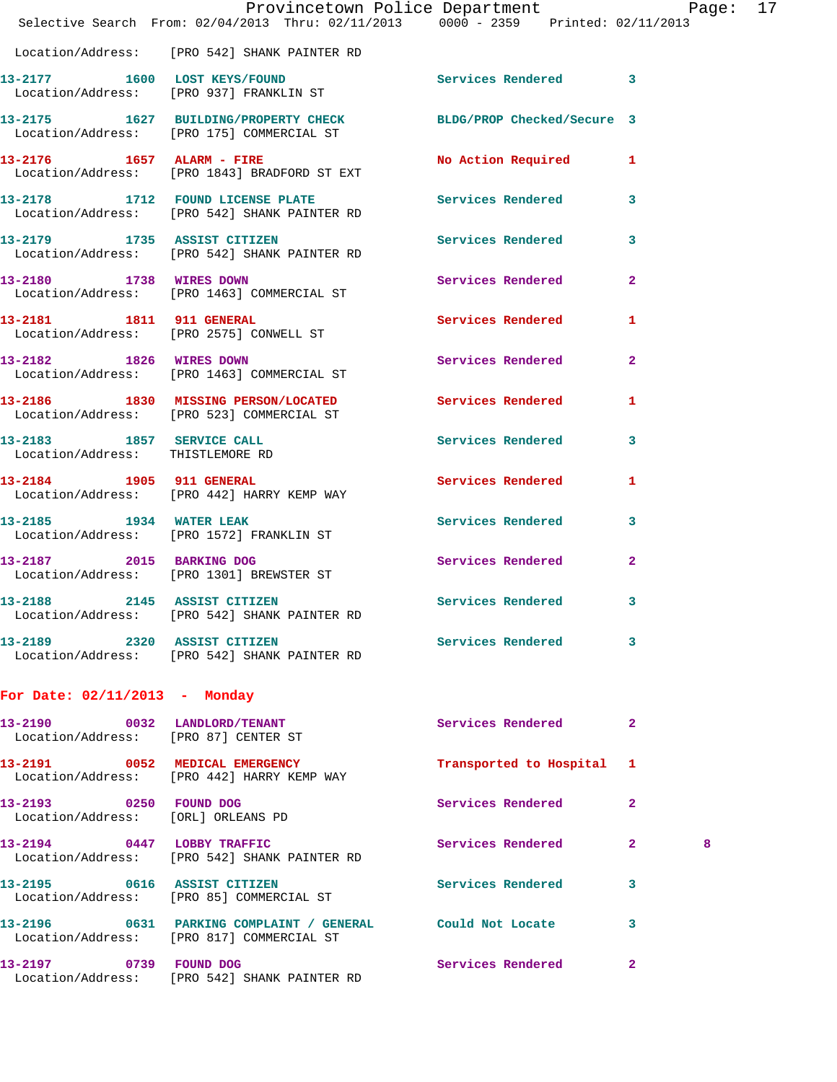|                                 | Provincetown Police Department Page: 17<br>Selective Search From: $02/04/2013$ Thru: $02/11/2013$ $0000 - 2359$ Printed: $02/11/2013$ |                           |                |   |  |
|---------------------------------|---------------------------------------------------------------------------------------------------------------------------------------|---------------------------|----------------|---|--|
|                                 | Location/Address: [PRO 542] SHANK PAINTER RD                                                                                          |                           |                |   |  |
|                                 | 13-2177 1600 LOST KEYS/FOUND<br>Location/Address: [PRO 937] FRANKLIN ST                                                               | Services Rendered 3       |                |   |  |
|                                 | 13-2175 1627 BUILDING/PROPERTY CHECK BLDG/PROP Checked/Secure 3<br>Location/Address: [PRO 175] COMMERCIAL ST                          |                           |                |   |  |
|                                 | 13-2176 1657 ALARM - FIRE<br>Location/Address: [PRO 1843] BRADFORD ST EXT                                                             | No Action Required 1      |                |   |  |
|                                 | 13-2178 1712 FOUND LICENSE PLATE 1 Services Rendered 3<br>Location/Address: [PRO 542] SHANK PAINTER RD                                |                           |                |   |  |
| 13-2179 1735 ASSIST CITIZEN     | Location/Address: [PRO 542] SHANK PAINTER RD                                                                                          | Services Rendered 3       |                |   |  |
|                                 | 13-2180 1738 WIRES DOWN<br>Location/Address: [PRO 1463] COMMERCIAL ST                                                                 | Services Rendered 2       |                |   |  |
|                                 | 13-2181 1811 911 GENERAL<br>Location/Address: [PRO 2575] CONWELL ST                                                                   | <b>Services Rendered</b>  | $\mathbf{1}$   |   |  |
|                                 | 13-2182 1826 WIRES DOWN<br>Location/Address: [PRO 1463] COMMERCIAL ST                                                                 | Services Rendered         | $\mathbf{2}$   |   |  |
|                                 | 13-2186 1830 MISSING PERSON/LOCATED Services Rendered<br>Location/Address: [PRO 523] COMMERCIAL ST                                    |                           | 1              |   |  |
| 13-2183 1857 SERVICE CALL       | Location/Address: THISTLEMORE RD                                                                                                      | Services Rendered 3       |                |   |  |
|                                 | 13-2184 1905 911 GENERAL<br>Location/Address: [PRO 442] HARRY KEMP WAY                                                                | <b>Services Rendered</b>  | $\mathbf{1}$   |   |  |
|                                 | 13-2185 1934 WATER LEAK<br>Location/Address: [PRO 1572] FRANKLIN ST                                                                   | Services Rendered 3       |                |   |  |
|                                 | 13-2187 2015 BARKING DOG<br>Location/Address: [PRO 1301] BREWSTER ST                                                                  | Services Rendered         | $\overline{2}$ |   |  |
| 13-2188                         | 2145 ASSIST CITIZEN<br>Location/Address: [PRO 542] SHANK PAINTER RD                                                                   | Services Rendered 3       |                |   |  |
|                                 | 13-2189 2320 ASSIST CITIZEN<br>Location/Address: [PRO 542] SHANK PAINTER RD                                                           | Services Rendered 3       |                |   |  |
| For Date: $02/11/2013$ - Monday |                                                                                                                                       |                           |                |   |  |
|                                 | 13-2190 0032 LANDLORD/TENANT<br>Location/Address: [PRO 87] CENTER ST                                                                  | Services Rendered 2       |                |   |  |
|                                 | 13-2191 0052 MEDICAL EMERGENCY<br>Location/Address: [PRO 442] HARRY KEMP WAY                                                          | Transported to Hospital 1 |                |   |  |
| 13-2193 0250 FOUND DOG          | Location/Address: [ORL] ORLEANS PD                                                                                                    | Services Rendered         | $\mathbf{2}$   |   |  |
|                                 | 13-2194 0447 LOBBY TRAFFIC<br>Location/Address: [PRO 542] SHANK PAINTER RD                                                            | Services Rendered 2       |                | 8 |  |
|                                 | 13-2195 0616 ASSIST CITIZEN<br>Location/Address: [PRO 85] COMMERCIAL ST                                                               | Services Rendered 3       |                |   |  |
|                                 | 13-2196 0631 PARKING COMPLAINT / GENERAL Could Not Locate 3<br>Location/Address: [PRO 817] COMMERCIAL ST                              |                           |                |   |  |
|                                 | 13-2197 0739 FOUND DOG<br>Location/Address: [PRO 542] SHANK PAINTER RD                                                                | Services Rendered         | $\mathbf{2}$   |   |  |